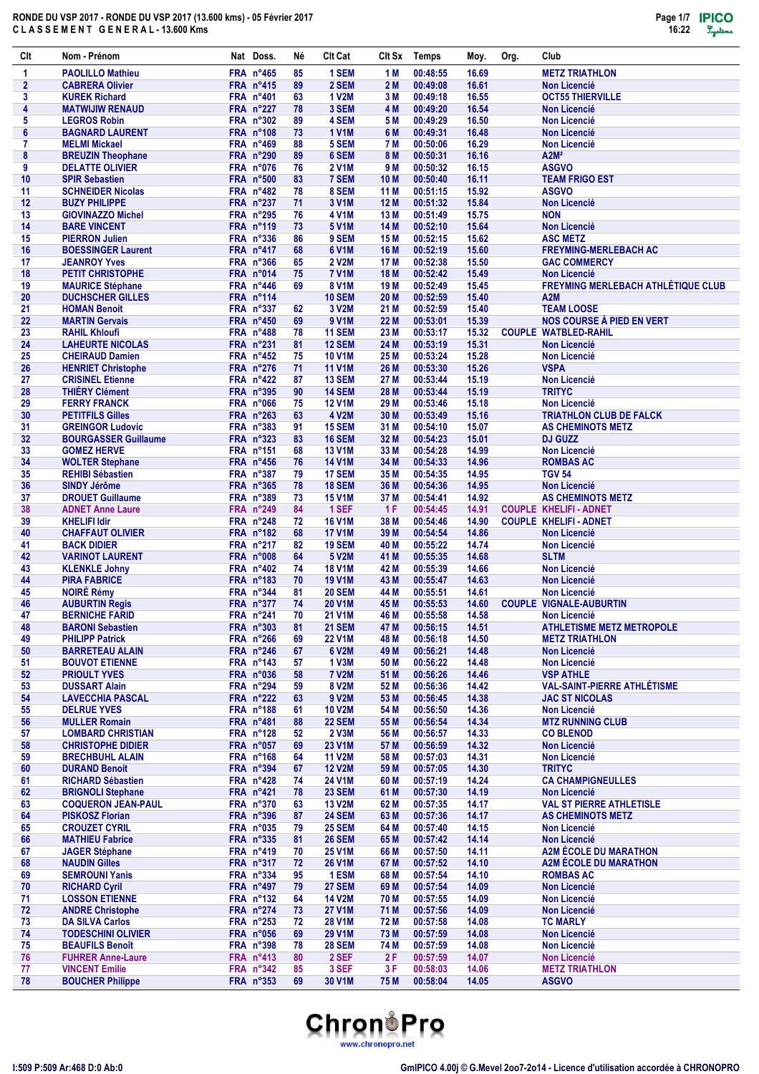

| Clt          | Nom - Prénom                                           | Nat Doss.                       | Né       | <b>CIt Cat</b>                      | CIt Sx       | Temps                | Moy.           | Org. | Club                                                        |
|--------------|--------------------------------------------------------|---------------------------------|----------|-------------------------------------|--------------|----------------------|----------------|------|-------------------------------------------------------------|
| 1            | <b>PAOLILLO Mathieu</b>                                | FRA n°465                       | 85       | 1 SEM                               | 1 M          | 00:48:55             | 16.69          |      | <b>METZ TRIATHLON</b>                                       |
| $\mathbf{2}$ | <b>CABRERA Olivier</b>                                 | FRA $n^{\circ}415$              | 89       | 2 SEM                               | 2 M          | 00:49:08             | 16.61          |      | <b>Non Licencié</b>                                         |
| 3            | <b>KUREK Richard</b>                                   | FRA n°401                       | 63       | <b>1 V2M</b>                        | 3 M          | 00:49:18             | 16.55          |      | <b>OCT55 THIERVILLE</b>                                     |
| 4            | <b>MATWIJIW RENAUD</b>                                 | FRA n°227                       | 78       | 3 SEM                               | 4 M          | 00:49:20             | 16.54          |      | <b>Non Licencié</b>                                         |
| 5            | <b>LEGROS Robin</b>                                    | FRA n°302                       | 89       | 4 SEM                               | 5 M          | 00:49:29             | 16.50          |      | <b>Non Licencié</b>                                         |
| 6<br>7       | <b>BAGNARD LAURENT</b><br><b>MELMI Mickael</b>         | <b>FRA n°108</b><br>FRA n°469   | 73<br>88 | <b>1 V1M</b><br>5 SEM               | 6 M<br>7 M   | 00:49:31<br>00:50:06 | 16.48<br>16.29 |      | <b>Non Licencié</b><br><b>Non Licencié</b>                  |
| 8            | <b>BREUZIN Theophane</b>                               | <b>FRA n°290</b>                | 89       | 6 SEM                               | 8 M          | 00:50:31             | 16.16          |      | A2M <sup>2</sup>                                            |
| 9            | <b>DELATTE OLIVIER</b>                                 | FRA n°076                       | 76       | <b>2 V1M</b>                        | 9 M          | 00:50:32             | 16.15          |      | <b>ASGVO</b>                                                |
| 10           | <b>SPIR Sebastien</b>                                  | FRA n°500                       | 83       | 7 SEM                               | 10 M         | 00:50:40             | 16.11          |      | <b>TEAM FRIGO EST</b>                                       |
| 11           | <b>SCHNEIDER Nicolas</b>                               | $FRA$ n°482                     | 78       | 8 SEM                               | 11 M         | 00:51:15             | 15.92          |      | <b>ASGVO</b>                                                |
| 12           | <b>BUZY PHILIPPE</b>                                   | FRA n°237                       | 71       | 3 V1M                               | 12 M         | 00:51:32             | 15.84          |      | <b>Non Licencié</b>                                         |
| 13           | <b>GIOVINAZZO Michel</b>                               | FRA n°295                       | 76       | <b>4 V1M</b>                        | 13 M         | 00:51:49             | 15.75          |      | <b>NON</b>                                                  |
| 14<br>15     | <b>BARE VINCENT</b><br><b>PIERRON Julien</b>           | FRA n°119<br>FRA n°336          | 73<br>86 | <b>5 V1M</b><br>9 SEM               | 14 M<br>15 M | 00:52:10<br>00:52:15 | 15.64<br>15.62 |      | <b>Non Licencié</b><br><b>ASC METZ</b>                      |
| 16           | <b>BOESSINGER Laurent</b>                              | FRA n°417                       | 68       | 6 V <sub>1</sub> M                  | 16 M         | 00:52:19             | 15.60          |      | <b>FREYMING-MERLEBACH AC</b>                                |
| 17           | <b>JEANROY Yves</b>                                    | FRA n°366                       | 65       | <b>2 V2M</b>                        | 17 M         | 00:52:38             | 15.50          |      | <b>GAC COMMERCY</b>                                         |
| 18           | PETIT CHRISTOPHE                                       | FRA n°014                       | 75       | <b>7 V1M</b>                        | 18 M         | 00:52:42             | 15.49          |      | <b>Non Licencié</b>                                         |
| 19           | <b>MAURICE Stéphane</b>                                | FRA n°446                       | 69       | 8 V <sub>1</sub> M                  | 19 M         | 00:52:49             | 15.45          |      | <b>FREYMING MERLEBACH ATHLÉTIQUE CLUB</b>                   |
| 20           | <b>DUCHSCHER GILLES</b>                                | FRA n°114                       |          | <b>10 SEM</b>                       | 20 M         | 00:52:59             | 15.40          |      | A2M                                                         |
| 21           | <b>HOMAN Benoit</b>                                    | FRA n°337                       | 62       | 3 V2M                               | 21 M         | 00:52:59             | 15.40          |      | <b>TEAM LOOSE</b>                                           |
| 22<br>23     | <b>MARTIN Gervais</b><br><b>RAHIL Khloufi</b>          | FRA n°450<br><b>FRA n°488</b>   | 69<br>78 | 9 V <sub>1</sub> M<br><b>11 SEM</b> | 22 M<br>23 M | 00:53:01<br>00:53:17 | 15.39<br>15.32 |      | NOS COURSE À PIED EN VERT<br><b>COUPLE WATBLED-RAHIL</b>    |
| 24           | <b>LAHEURTE NICOLAS</b>                                | FRA n°231                       | 81       | <b>12 SEM</b>                       | 24 M         | 00:53:19             | 15.31          |      | <b>Non Licencié</b>                                         |
| 25           | <b>CHEIRAUD Damien</b>                                 | FRA $n^{\circ}452$              | 75       | <b>10 V1M</b>                       | 25 M         | 00:53:24             | 15.28          |      | <b>Non Licencié</b>                                         |
| 26           | <b>HENRIET Christophe</b>                              | FRA $n^{\circ}276$              | 71       | <b>11 V1M</b>                       | 26 M         | 00:53:30             | 15.26          |      | <b>VSPA</b>                                                 |
| 27           | <b>CRISINEL Etienne</b>                                | $FRA$ n°422                     | 87       | <b>13 SEM</b>                       | 27 M         | 00:53:44             | 15.19          |      | <b>Non Licencié</b>                                         |
| 28           | <b>THIÉRY Clément</b>                                  | $FRA$ n°395                     | 90       | <b>14 SEM</b>                       | 28 M         | 00:53:44             | 15.19          |      | <b>TRITYC</b>                                               |
| 29           | <b>FERRY FRANCK</b>                                    | FRA n°066                       | 75       | <b>12 V1M</b>                       | 29 M         | 00:53:46             | 15.18          |      | <b>Non Licencié</b>                                         |
| 30           | <b>PETITFILS Gilles</b>                                | FRA n°263<br>FRA n°383          | 63       | <b>4 V2M</b>                        | 30 M         | 00:53:49             | 15.16          |      | <b>TRIATHLON CLUB DE FALCK</b>                              |
| 31<br>32     | <b>GREINGOR Ludovic</b><br><b>BOURGASSER Guillaume</b> | <b>FRA n°323</b>                | 91<br>83 | <b>15 SEM</b><br><b>16 SEM</b>      | 31 M<br>32 M | 00:54:10<br>00:54:23 | 15.07<br>15.01 |      | <b>AS CHEMINOTS METZ</b><br><b>DJ GUZZ</b>                  |
| 33           | <b>GOMEZ HERVE</b>                                     | FRA n°151                       | 68       | <b>13 V1M</b>                       | 33 M         | 00:54:28             | 14.99          |      | <b>Non Licencié</b>                                         |
| 34           | <b>WOLTER Stephane</b>                                 | FRA n°456                       | 76       | <b>14 V1M</b>                       | 34 M         | 00:54:33             | 14.96          |      | <b>ROMBAS AC</b>                                            |
| 35           | <b>REHIBI Sébastien</b>                                | FRA n°387                       | 79       | <b>17 SEM</b>                       | 35 M         | 00:54:35             | 14.95          |      | <b>TGV 54</b>                                               |
| 36           | <b>SINDY Jérôme</b>                                    | FRA n°365                       | 78       | <b>18 SEM</b>                       | 36 M         | 00:54:36             | 14.95          |      | <b>Non Licencié</b>                                         |
| 37           | <b>DROUET Guillaume</b>                                | <b>FRA n°389</b>                | 73       | <b>15 V1M</b>                       | 37 M         | 00:54:41             | 14.92          |      | <b>AS CHEMINOTS METZ</b>                                    |
| 38           | <b>ADNET Anne Laure</b>                                | FRA n°249                       | 84       | 1 SEF<br><b>16 V1M</b>              | 1 F          | 00:54:45             | 14.91          |      | <b>COUPLE KHELIFI-ADNET</b>                                 |
| 39<br>40     | <b>KHELIFI Idir</b><br><b>CHAFFAUT OLIVIER</b>         | FRA n°248<br>FRA n°182          | 72<br>68 | <b>17 V1M</b>                       | 38 M<br>39 M | 00:54:46<br>00:54:54 | 14.90<br>14.86 |      | <b>COUPLE KHELIFI-ADNET</b><br><b>Non Licencié</b>          |
| 41           | <b>BACK DIDIER</b>                                     | FRA n°217                       | 82       | <b>19 SEM</b>                       | 40 M         | 00:55:22             | 14.74          |      | <b>Non Licencié</b>                                         |
| 42           | <b>VARINOT LAURENT</b>                                 | FRA n°008                       | 64       | 5 V2M                               | 41 M         | 00:55:35             | 14.68          |      | <b>SLTM</b>                                                 |
| 43           | <b>KLENKLE Johny</b>                                   | FRA n°402                       | 74       | <b>18 V1M</b>                       | 42 M         | 00:55:39             | 14.66          |      | <b>Non Licencié</b>                                         |
| 44           | <b>PIRA FABRICE</b>                                    | <b>FRA n°183</b>                | 70       | <b>19 V1M</b>                       | 43 M         | 00:55:47             | 14.63          |      | <b>Non Licencié</b>                                         |
| 45           | <b>NOIRÉ Rémy</b>                                      | FRA n°344                       | 81       | <b>20 SEM</b>                       | 44 M         | 00:55:51             | 14.61          |      | <b>Non Licencié</b>                                         |
| 46<br>47     | <b>AUBURTIN Regis</b><br><b>BERNICHE FARID</b>         | FRA n°377<br>FRA n°241          | 74<br>70 | <b>20 V1M</b><br><b>21 V1M</b>      | 45 M<br>46 M | 00:55:53<br>00:55:58 | 14.60<br>14.58 |      | <b>COUPLE VIGNALE-AUBURTIN</b><br><b>Non Licencié</b>       |
| 48           | <b>BARONI Sebastien</b>                                | <b>FRA n°303</b>                | 81       | <b>21 SEM</b>                       | 47 M         | 00:56:15             | 14.51          |      | <b>ATHLETISME METZ METROPOLE</b>                            |
| 49           | <b>PHILIPP Patrick</b>                                 | FRA n°266                       | 69       | <b>22 V1M</b>                       | 48 M         | 00:56:18             | 14.50          |      | <b>METZ TRIATHLON</b>                                       |
| 50           | <b>BARRETEAU ALAIN</b>                                 | FRA n°246                       | 67       | 6 V2M                               | 49 M         | 00:56:21             | 14.48          |      | <b>Non Licencié</b>                                         |
| 51           | <b>BOUVOT ETIENNE</b>                                  | FRA n°143                       | 57       | 1 V3M                               | 50 M         | 00:56:22             | 14.48          |      | <b>Non Licencié</b>                                         |
| 52           | <b>PRIOULT YVES</b>                                    | FRA n°036                       | 58       | <b>7 V2M</b>                        | 51 M         | 00:56:26             | 14.46          |      | <b>VSP ATHLE</b>                                            |
| 53<br>54     | <b>DUSSART Alain</b><br><b>LAVECCHIA PASCAL</b>        | FRA n°294<br>FRA n°222          | 59       | 8 V2M<br>9 V2M                      | 52 M<br>53 M | 00:56:36<br>00:56:45 | 14.42<br>14.38 |      | <b>VAL-SAINT-PIERRE ATHLÉTISME</b><br><b>JAC ST NICOLAS</b> |
| 55           | <b>DELRUE YVES</b>                                     | FRA n°188                       | 63<br>61 | <b>10 V2M</b>                       | 54 M         | 00:56:50             | 14.36          |      | <b>Non Licencié</b>                                         |
| 56           | <b>MULLER Romain</b>                                   | FRA n°481                       | 88       | <b>22 SEM</b>                       | 55 M         | 00:56:54             | 14.34          |      | <b>MTZ RUNNING CLUB</b>                                     |
| 57           | <b>LOMBARD CHRISTIAN</b>                               | <b>FRA n°128</b>                | 52       | 2 V3M                               | 56 M         | 00:56:57             | 14.33          |      | <b>CO BLENOD</b>                                            |
| 58           | <b>CHRISTOPHE DIDIER</b>                               | FRA n°057                       | 69       | 23 V1M                              | 57 M         | 00:56:59             | 14.32          |      | Non Licencié                                                |
| 59           | <b>BRECHBUHL ALAIN</b>                                 | FRA n°168                       | 64       | <b>11 V2M</b>                       | 58 M         | 00:57:03             | 14.31          |      | <b>Non Licencié</b>                                         |
| 60           | <b>DURAND Benoit</b>                                   | FRA n°394                       | 67       | <b>12 V2M</b>                       | 59 M         | 00:57:05             | 14.30          |      | <b>TRITYC</b>                                               |
| 61<br>62     | <b>RICHARD Sébastien</b><br><b>BRIGNOLI Stephane</b>   | FRA n°428<br>$FRA$ n°421        | 74<br>78 | <b>24 V1M</b><br><b>23 SEM</b>      | 60 M<br>61 M | 00:57:19<br>00:57:30 | 14.24<br>14.19 |      | <b>CA CHAMPIGNEULLES</b><br><b>Non Licencié</b>             |
| 63           | <b>COQUERON JEAN-PAUL</b>                              | FRA n°370                       | 63       | <b>13 V2M</b>                       | 62 M         | 00:57:35             | 14.17          |      | <b>VAL ST PIERRE ATHLETISLE</b>                             |
| 64           | <b>PISKOSZ Florian</b>                                 | FRA n°396                       | 87       | <b>24 SEM</b>                       | 63 M         | 00:57:36             | 14.17          |      | AS CHEMINOTS METZ                                           |
| 65           | <b>CROUZET CYRIL</b>                                   | <b>FRA n°035</b>                | 79       | <b>25 SEM</b>                       | 64 M         | 00:57:40             | 14.15          |      | <b>Non Licencié</b>                                         |
| 66           | <b>MATHIEU Fabrice</b>                                 | FRA n°335                       | 81       | <b>26 SEM</b>                       | 65 M         | 00:57:42             | 14.14          |      | <b>Non Licencié</b>                                         |
| 67           | <b>JAGER Stéphane</b>                                  | $FRA$ n°419                     | 70       | 25 V1M                              | 66 M         | 00:57:50             | 14.11          |      | A2M ÉCOLE DU MARATHON                                       |
| 68           | <b>NAUDIN Gilles</b>                                   | FRA n°317                       | 72       | <b>26 V1M</b>                       | 67 M         | 00:57:52             | 14.10          |      | <b>A2M ÉCOLE DU MARATHON</b>                                |
| 69<br>70     | <b>SEMROUNI Yanis</b><br><b>RICHARD Cyril</b>          | FRA n°334<br>FRA $n^{\circ}497$ | 95<br>79 | 1 ESM<br><b>27 SEM</b>              | 68 M<br>69 M | 00:57:54<br>00:57:54 | 14.10<br>14.09 |      | <b>ROMBAS AC</b><br><b>Non Licencié</b>                     |
| 71           | <b>LOSSON ETIENNE</b>                                  | FRA n°132                       | 64       | <b>14 V2M</b>                       | 70 M         | 00:57:55             | 14.09          |      | <b>Non Licencié</b>                                         |
| 72           | <b>ANDRE Christophe</b>                                | FRA n°274                       | 73       | <b>27 V1M</b>                       | 71 M         | 00:57:56             | 14.09          |      | <b>Non Licencié</b>                                         |
| 73           | <b>DA SILVA Carlos</b>                                 | $FRA$ n°253                     | 72       | <b>28 V1M</b>                       | 72 M         | 00:57:58             | 14.08          |      | <b>TC MARLY</b>                                             |
| 74           | <b>TODESCHINI OLIVIER</b>                              | FRA n°056                       | 69       | <b>29 V1M</b>                       | 73 M         | 00:57:59             | 14.08          |      | <b>Non Licencié</b>                                         |
| 75           | <b>BEAUFILS Benoît</b>                                 | FRA n°398                       | 78       | <b>28 SEM</b>                       | 74 M         | 00:57:59             | 14.08          |      | Non Licencié                                                |
| 76           | <b>FUHRER Anne-Laure</b>                               | $FRA$ n°413                     | 80       | 2 SEF                               | 2 F          | 00:57:59             | 14.07          |      | <b>Non Licencié</b>                                         |
| 77<br>78     | <b>VINCENT Emilie</b><br><b>BOUCHER Philippe</b>       | $FRA$ n°342<br>FRA n°353        | 85<br>69 | 3 SEF<br>30 V1M                     | 3F<br>75 M   | 00:58:03<br>00:58:04 | 14.06<br>14.05 |      | <b>METZ TRIATHLON</b><br><b>ASGVO</b>                       |
|              |                                                        |                                 |          |                                     |              |                      |                |      |                                                             |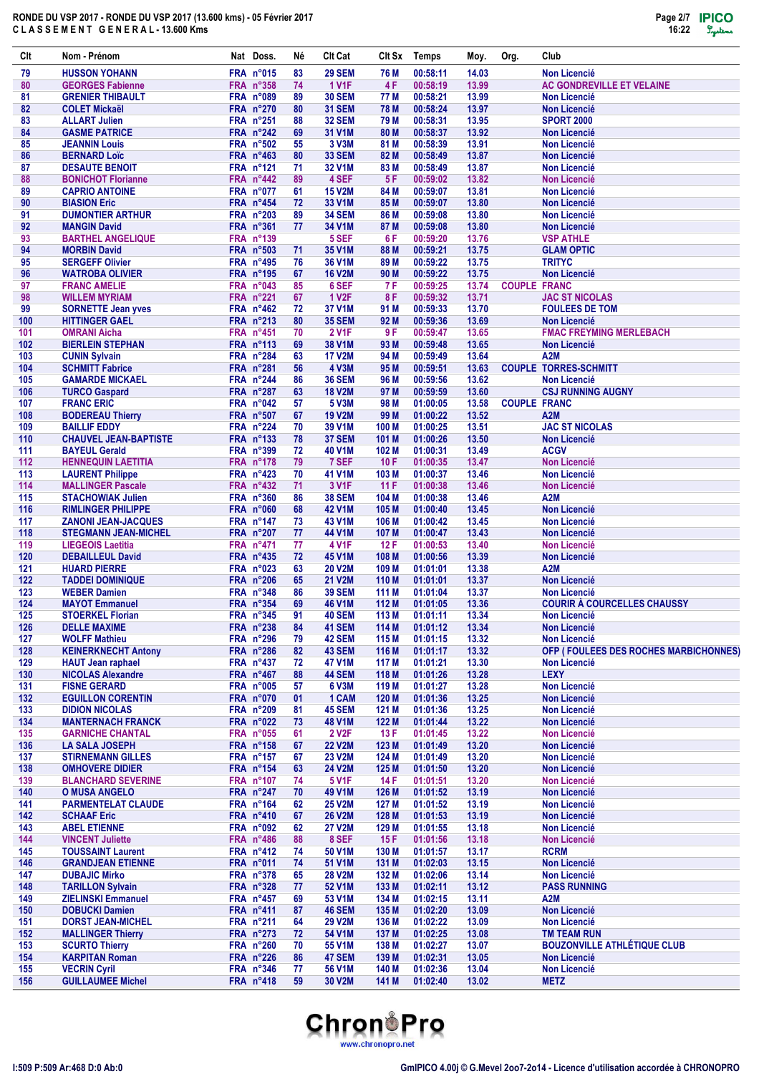| Clt        | Nom - Prénom                                         | Nat Doss.                     | Νé       | <b>CIt Cat</b>                 | CIt Sx           | Temps                | Moy.           | Org.                | Club                                             |
|------------|------------------------------------------------------|-------------------------------|----------|--------------------------------|------------------|----------------------|----------------|---------------------|--------------------------------------------------|
| 79         | <b>HUSSON YOHANN</b>                                 | FRA n°015                     | 83       | <b>29 SEM</b>                  | 76 M             | 00:58:11             | 14.03          |                     | <b>Non Licencié</b>                              |
| 80         | <b>GEORGES Fabienne</b>                              | <b>FRA n°358</b>              | 74       | <b>1 V1F</b>                   | 4 F              | 00:58:19             | 13.99          |                     | <b>AC GONDREVILLE ET VELAINE</b>                 |
| 81         | <b>GRENIER THIBAULT</b>                              | <b>FRA n°089</b>              | 89       | <b>30 SEM</b>                  | 77 M             | 00:58:21             | 13.99          |                     | <b>Non Licencié</b>                              |
| 82<br>83   | <b>COLET Mickaël</b><br><b>ALLART Julien</b>         | <b>FRA n°270</b><br>FRA n°251 | 80<br>88 | <b>31 SEM</b><br><b>32 SEM</b> | 78 M<br>79 M     | 00:58:24<br>00:58:31 | 13.97<br>13.95 |                     | <b>Non Licencié</b><br><b>SPORT 2000</b>         |
| 84         | <b>GASME PATRICE</b>                                 | FRA n°242                     | 69       | 31 V1M                         | 80 M             | 00:58:37             | 13.92          |                     | <b>Non Licencié</b>                              |
| 85         | <b>JEANNIN Louis</b>                                 | <b>FRA n°502</b>              | 55       | 3 V3M                          | 81 M             | 00:58:39             | 13.91          |                     | Non Licencié                                     |
| 86         | <b>BERNARD Loïc</b>                                  | FRA n°463                     | 80       | <b>33 SEM</b>                  | 82 M             | 00:58:49             | 13.87          |                     | <b>Non Licencié</b>                              |
| 87         | <b>DESAUTE BENOIT</b>                                | FRA n°121                     | 71       | 32 V1M                         | 83 M             | 00:58:49             | 13.87          |                     | Non Licencié                                     |
| 88         | <b>BONICHOT Florianne</b>                            | FRA n°442                     | 89       | 4 SEF                          | 5 F              | 00:59:02             | 13.82          |                     | <b>Non Licencié</b>                              |
| 89<br>90   | <b>CAPRIO ANTOINE</b><br><b>BIASION Eric</b>         | FRA n°077<br>FRA n°454        | 61<br>72 | <b>15 V2M</b><br>33 V1M        | 84 M<br>85 M     | 00:59:07<br>00:59:07 | 13.81<br>13.80 |                     | <b>Non Licencié</b><br><b>Non Licencié</b>       |
| 91         | <b>DUMONTIER ARTHUR</b>                              | <b>FRA n°203</b>              | 89       | <b>34 SEM</b>                  | 86 M             | 00:59:08             | 13.80          |                     | <b>Non Licencié</b>                              |
| 92         | <b>MANGIN David</b>                                  | FRA n°361                     | 77       | 34 V1M                         | 87 M             | 00:59:08             | 13.80          |                     | <b>Non Licencié</b>                              |
| 93         | <b>BARTHEL ANGELIQUE</b>                             | FRA n°139                     |          | 5 SEF                          | 6 F              | 00:59:20             | 13.76          |                     | <b>VSP ATHLE</b>                                 |
| 94         | <b>MORBIN David</b>                                  | <b>FRA n°503</b>              | 71       | 35 V1M                         | 88 M             | 00:59:21             | 13.75          |                     | <b>GLAM OPTIC</b>                                |
| 95         | <b>SERGEFF Olivier</b>                               | FRA n°495                     | 76       | 36 V1M                         | 89 M             | 00:59:22             | 13.75          |                     | <b>TRITYC</b>                                    |
| 96<br>97   | <b>WATROBA OLIVIER</b><br><b>FRANC AMELIE</b>        | FRA n°195<br>FRA n°043        | 67<br>85 | <b>16 V2M</b><br>6 SEF         | 90 M<br>7 F      | 00:59:22<br>00:59:25 | 13.75<br>13.74 | <b>COUPLE FRANC</b> | <b>Non Licencié</b>                              |
| 98         | <b>WILLEM MYRIAM</b>                                 | FRA n°221                     | 67       | <b>1 V2F</b>                   | 8 F              | 00:59:32             | 13.71          |                     | <b>JAC ST NICOLAS</b>                            |
| 99         | <b>SORNETTE Jean yves</b>                            | FRA n°462                     | 72       | 37 V1M                         | 91 M             | 00:59:33             | 13.70          |                     | <b>FOULEES DE TOM</b>                            |
| 100        | <b>HITTINGER GAEL</b>                                | <b>FRA n°213</b>              | 80       | <b>35 SEM</b>                  | 92 M             | 00:59:36             | 13.69          |                     | <b>Non Licencié</b>                              |
| 101        | <b>OMRANI Aicha</b>                                  | FRA n°451                     | 70       | <b>2 V1F</b>                   | 9 F              | 00:59:47             | 13.65          |                     | <b>FMAC FREYMING MERLEBACH</b>                   |
| 102        | <b>BIERLEIN STEPHAN</b>                              | <b>FRA n°113</b>              | 69       | 38 V1M                         | 93 M             | 00:59:48             | 13.65          |                     | <b>Non Licencié</b>                              |
| 103        | <b>CUNIN Sylvain</b>                                 | FRA n°284                     | 63       | <b>17 V2M</b>                  | 94 M             | 00:59:49             | 13.64          |                     | A <sub>2</sub> M<br><b>COUPLE TORRES-SCHMITT</b> |
| 104<br>105 | <b>SCHMITT Fabrice</b><br><b>GAMARDE MICKAEL</b>     | FRA n°281<br>FRA n°244        | 56<br>86 | <b>4 V3M</b><br><b>36 SEM</b>  | 95 M<br>96 M     | 00:59:51<br>00:59:56 | 13.63<br>13.62 |                     | <b>Non Licencié</b>                              |
| 106        | <b>TURCO Gaspard</b>                                 | FRA n°287                     | 63       | <b>18 V2M</b>                  | 97 M             | 00:59:59             | 13.60          |                     | <b>CSJ RUNNING AUGNY</b>                         |
| 107        | <b>FRANC ERIC</b>                                    | FRA n°042                     | 57       | 5 V3M                          | 98 M             | 01:00:05             | 13.58          | <b>COUPLE FRANC</b> |                                                  |
| 108        | <b>BODEREAU Thierry</b>                              | FRA n°507                     | 67       | <b>19 V2M</b>                  | 99 M             | 01:00:22             | 13.52          |                     | <b>A2M</b>                                       |
| 109        | <b>BAILLIF EDDY</b>                                  | FRA n°224                     | 70       | 39 V1M                         | 100 M            | 01:00:25             | 13.51          |                     | <b>JAC ST NICOLAS</b>                            |
| 110        | <b>CHAUVEL JEAN-BAPTISTE</b>                         | FRA n°133                     | 78       | <b>37 SEM</b>                  | 101 M            | 01:00:26             | 13.50          |                     | <b>Non Licencié</b>                              |
| 111<br>112 | <b>BAYEUL Gerald</b>                                 | <b>FRA n°399</b><br>FRA n°178 | 72<br>79 | 40 V1M<br>7 SEF                | 102 M<br>10F     | 01:00:31<br>01:00:35 | 13.49<br>13.47 |                     | <b>ACGV</b><br><b>Non Licencié</b>               |
| 113        | <b>HENNEQUIN LAETITIA</b><br><b>LAURENT Philippe</b> | FRA n°423                     | 70       | 41 V1M                         | 103 M            | 01:00:37             | 13.46          |                     | <b>Non Licencié</b>                              |
| 114        | <b>MALLINGER Pascale</b>                             | FRA n°432                     | 71       | 3 V <sub>1</sub> F             | 11F              | 01:00:38             | 13.46          |                     | <b>Non Licencié</b>                              |
| 115        | <b>STACHOWIAK Julien</b>                             | FRA n°360                     | 86       | <b>38 SEM</b>                  | 104 M            | 01:00:38             | 13.46          |                     | A2M                                              |
| 116        | <b>RIMLINGER PHILIPPE</b>                            | FRA n°060                     | 68       | 42 V1M                         | 105 M            | 01:00:40             | 13.45          |                     | <b>Non Licencié</b>                              |
| 117        | <b>ZANONI JEAN-JACQUES</b>                           | FRA n°147                     | 73       | 43 V1M                         | 106 M            | 01:00:42             | 13.45          |                     | <b>Non Licencié</b>                              |
| 118        | <b>STEGMANN JEAN-MICHEL</b>                          | <b>FRA n°207</b>              | 77       | 44 V1M                         | 107 M            | 01:00:47             | 13.43          |                     | <b>Non Licencié</b>                              |
| 119<br>120 | <b>LIEGEOIS Laetitia</b><br><b>DEBAILLEUL David</b>  | FRA n°471<br>FRA n°435        | 77<br>72 | 4 V1F<br>45 V1M                | 12F<br>108 M     | 01:00:53<br>01:00:56 | 13.40<br>13.39 |                     | Non Licencié<br><b>Non Licencié</b>              |
| 121        | <b>HUARD PIERRE</b>                                  | FRA n°023                     | 63       | <b>20 V2M</b>                  | 109 M            | 01:01:01             | 13.38          |                     | A <sub>2</sub> M                                 |
| 122        | <b>TADDEI DOMINIQUE</b>                              | FRA n°206                     | 65       | <b>21 V2M</b>                  | 110 M            | 01:01:01             | 13.37          |                     | <b>Non Licencié</b>                              |
| 123        | <b>WEBER Damien</b>                                  | FRA n°348                     | 86       | <b>39 SEM</b>                  | 111 M            | 01:01:04             | 13.37          |                     | <b>Non Licencié</b>                              |
| 124        | <b>MAYOT Emmanuel</b>                                | FRA n°354                     | 69       | <b>46 V1M</b>                  | 112 M            | 01:01:05             | 13.36          |                     | <b>COURIR À COURCELLES CHAUSSY</b>               |
| 125        | <b>STOERKEL Florian</b>                              | FRA n°345                     | 91       | <b>40 SEM</b>                  | 113 M            | 01:01:11             | 13.34          |                     | Non Licencié                                     |
| 126<br>127 | <b>DELLE MAXIME</b><br><b>WOLFF Mathieu</b>          | FRA n°238<br>FRA n°296        | 84<br>79 | 41 SEM<br><b>42 SEM</b>        | 114 M<br>115 M   | 01:01:12<br>01:01:15 | 13.34<br>13.32 |                     | <b>Non Licencié</b><br>Non Licencié              |
| 128        | <b>KEINERKNECHT Antony</b>                           | FRA n°286                     | 82       | 43 SEM                         | 116 M            | 01:01:17             | 13.32          |                     | OFP (FOULEES DES ROCHES MARBICHONNES)            |
| 129        | <b>HAUT Jean raphael</b>                             | <b>FRA nº437</b>              | 72       | 47 V1M                         | 117 M            | 01:01:21             | 13.30          |                     | <b>Non Licencié</b>                              |
| 130        | <b>NICOLAS Alexandre</b>                             | FRA n°467                     | 88       | <b>44 SEM</b>                  | 118 M            | 01:01:26             | 13.28          |                     | <b>LEXY</b>                                      |
| 131        | <b>FISNE GERARD</b>                                  | FRA n°005                     | 57       | 6 V3M                          | 119 M            | 01:01:27             | 13.28          |                     | Non Licencié                                     |
| 132        | <b>EGUILLON CORENTIN</b>                             | <b>FRA n°070</b>              | 01       | 1 CAM                          | 120 M            | 01:01:36             | 13.25          |                     | <b>Non Licencié</b>                              |
| 133<br>134 | <b>DIDION NICOLAS</b><br><b>MANTERNACH FRANCK</b>    | FRA n°209<br>FRA n°022        | 81<br>73 | <b>45 SEM</b><br><b>48 V1M</b> | 121 M<br>122 M   | 01:01:36<br>01:01:44 | 13.25<br>13.22 |                     | Non Licencié<br>Non Licencié                     |
| 135        | <b>GARNICHE CHANTAL</b>                              | FRA n°055                     | 61       | 2 V <sub>2</sub> F             | 13F              | 01:01:45             | 13.22          |                     | <b>Non Licencié</b>                              |
| 136        | LA SALA JOSEPH                                       | FRA n°158                     | 67       | <b>22 V2M</b>                  | 123 <sub>M</sub> | 01:01:49             | 13.20          |                     | <b>Non Licencié</b>                              |
| 137        | <b>STIRNEMANN GILLES</b>                             | FRA n°157                     | 67       | <b>23 V2M</b>                  | 124 M            | 01:01:49             | 13.20          |                     | <b>Non Licencié</b>                              |
| 138        | <b>OMHOVERE DIDIER</b>                               | FRA n°154                     | 63       | <b>24 V2M</b>                  | 125 M            | 01:01:50             | 13.20          |                     | <b>Non Licencié</b>                              |
| 139<br>140 | <b>BLANCHARD SEVERINE</b><br><b>O MUSA ANGELO</b>    | FRA n°107<br>FRA n°247        | 74       | <b>5 V1F</b><br>49 V1M         | 14 F<br>126 M    | 01:01:51<br>01:01:52 | 13.20<br>13.19 |                     | Non Licencié<br><b>Non Licencié</b>              |
| 141        | <b>PARMENTELAT CLAUDE</b>                            | FRA n°164                     | 70<br>62 | <b>25 V2M</b>                  | 127 M            | 01:01:52             | 13.19          |                     | Non Licencié                                     |
| 142        | <b>SCHAAF Eric</b>                                   | FRA n°410                     | 67       | <b>26 V2M</b>                  | 128 M            | 01:01:53             | 13.19          |                     | <b>Non Licencié</b>                              |
| 143        | <b>ABEL ETIENNE</b>                                  | FRA n°092                     | 62       | <b>27 V2M</b>                  | 129 M            | 01:01:55             | 13.18          |                     | <b>Non Licencié</b>                              |
| 144        | <b>VINCENT Juliette</b>                              | FRA n°486                     | 88       | 8 SEF                          | 15F              | 01:01:56             | 13.18          |                     | <b>Non Licencié</b>                              |
| 145        | <b>TOUSSAINT Laurent</b>                             | FRA n°412                     | 74       | 50 V1M                         | 130 M            | 01:01:57             | 13.17          |                     | <b>RCRM</b>                                      |
| 146        | <b>GRANDJEAN ETIENNE</b>                             | FRA n°011                     | 74       | 51 V1M                         | 131 M            | 01:02:03             | 13.15          |                     | <b>Non Licencié</b>                              |
| 147<br>148 | <b>DUBAJIC Mirko</b><br><b>TARILLON Sylvain</b>      | FRA n°378<br>FRA n°328        | 65<br>77 | <b>28 V2M</b><br>52 V1M        | 132 M<br>133 M   | 01:02:06             | 13.14<br>13.12 |                     | <b>Non Licencié</b><br><b>PASS RUNNING</b>       |
| 149        | <b>ZIELINSKI Emmanuel</b>                            | FRA n°457                     | 69       | 53 V1M                         | 134 M            | 01:02:11<br>01:02:15 | 13.11          |                     | A2M                                              |
| 150        | <b>DOBUCKI Damien</b>                                | FRA n°411                     | 87       | <b>46 SEM</b>                  | 135 M            | 01:02:20             | 13.09          |                     | <b>Non Licencié</b>                              |
| 151        | <b>DORST JEAN-MICHEL</b>                             | FRA n°211                     | 64       | <b>29 V2M</b>                  | 136 M            | 01:02:22             | 13.09          |                     | Non Licencié                                     |
| 152        | <b>MALLINGER Thierry</b>                             | FRA n°273                     | 72       | 54 V1M                         | 137 M            | 01:02:25             | 13.08          |                     | <b>TM TEAM RUN</b>                               |
| 153        | <b>SCURTO Thierry</b>                                | FRA n°260                     | 70       | 55 V1M                         | 138 M            | 01:02:27             | 13.07          |                     | <b>BOUZONVILLE ATHLÉTIQUE CLUB</b>               |
| 154        | <b>KARPITAN Roman</b>                                | <b>FRA n°226</b>              | 86       | 47 SEM                         | 139 M            | 01:02:31             | 13.05          |                     | <b>Non Licencié</b>                              |
| 155<br>156 | <b>VECRIN Cyril</b><br><b>GUILLAUMEE Michel</b>      | FRA n°346<br><b>FRA n°418</b> | 77<br>59 | 56 V1M<br>30 V2M               | 140 M<br>141 M   | 01:02:36<br>01:02:40 | 13.04<br>13.02 |                     | <b>Non Licencié</b><br><b>METZ</b>               |
|            |                                                      |                               |          |                                |                  |                      |                |                     |                                                  |

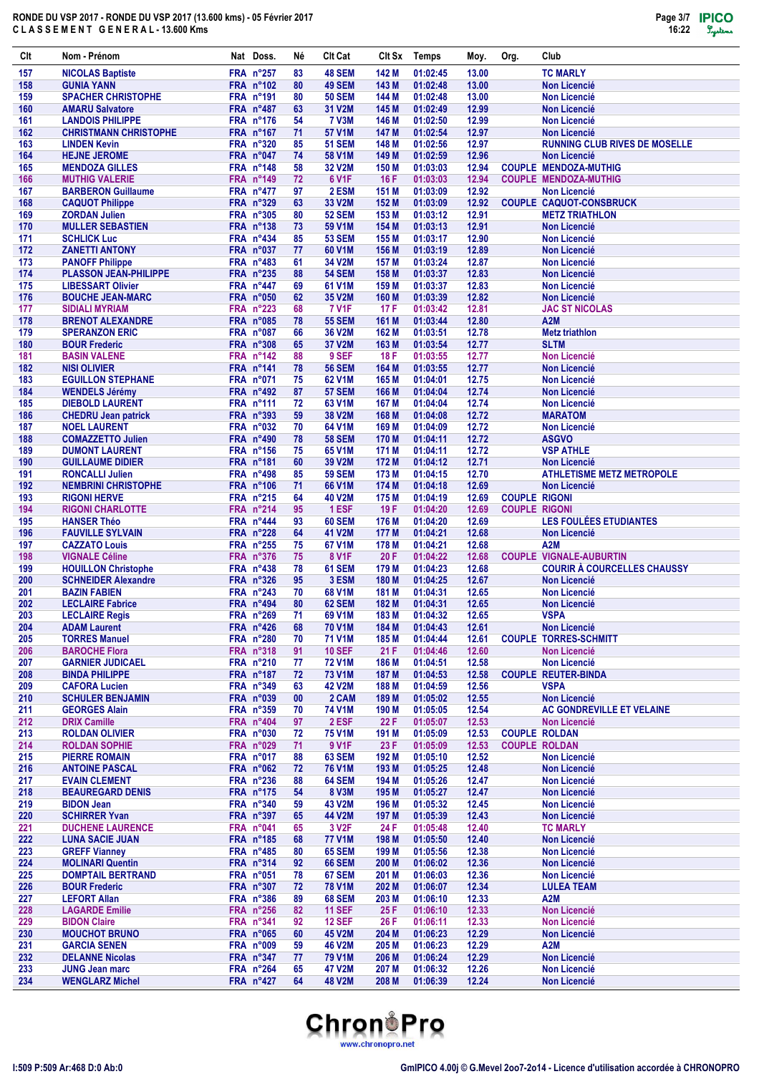

| Clt        | Nom - Prénom                                        |                               | Nat Doss.                            | Né       | <b>CIt Cat</b>                 | Clt Sx         | Temps                | Moy.           | Org.                                         | Club                                                                 |
|------------|-----------------------------------------------------|-------------------------------|--------------------------------------|----------|--------------------------------|----------------|----------------------|----------------|----------------------------------------------|----------------------------------------------------------------------|
| 157        | <b>NICOLAS Baptiste</b>                             | FRA n°257                     |                                      | 83       | 48 SEM                         | 142 M          | 01:02:45             | 13.00          |                                              | <b>TC MARLY</b>                                                      |
| 158        | <b>GUNIA YANN</b>                                   |                               | <b>FRA n°102</b>                     | 80       | <b>49 SEM</b>                  | 143 M          | 01:02:48             | 13.00          |                                              | <b>Non Licencié</b>                                                  |
| 159<br>160 | <b>SPACHER CHRISTOPHE</b><br><b>AMARU Salvatore</b> | FRA n°191<br>FRA n°487        |                                      | 80<br>63 | <b>50 SEM</b><br>31 V2M        | 144 M<br>145 M | 01:02:48<br>01:02:49 | 13.00<br>12.99 |                                              | <b>Non Licencié</b><br><b>Non Licencié</b>                           |
| 161        | <b>LANDOIS PHILIPPE</b>                             |                               | FRA n°176                            | 54       | <b>7 V3M</b>                   | 146 M          | 01:02:50             | 12.99          |                                              | <b>Non Licencié</b>                                                  |
| 162        | <b>CHRISTMANN CHRISTOPHE</b>                        | <b>FRA n°167</b>              |                                      | 71       | 57 V1M                         | 147 M          | 01:02:54             | 12.97          |                                              | <b>Non Licencié</b>                                                  |
| 163        | <b>LINDEN Kevin</b>                                 | FRA n°320                     |                                      | 85       | <b>51 SEM</b>                  | 148 M          | 01:02:56             | 12.97          |                                              | <b>RUNNING CLUB RIVES DE MOSELLE</b>                                 |
| 164        | <b>HEJNE JEROME</b>                                 | FRA n°047                     |                                      | 74       | 58 V1M                         | 149 M          | 01:02:59             | 12.96          |                                              | <b>Non Licencié</b>                                                  |
| 165<br>166 | <b>MENDOZA GILLES</b><br><b>MUTHIG VALERIE</b>      |                               | FRA n°148<br>FRA n°149               | 58<br>72 | 32 V2M<br>6 V <sub>1</sub> F   | 150 M<br>16 F  | 01:03:03<br>01:03:03 | 12.94<br>12.94 |                                              | <b>COUPLE MENDOZA-MUTHIG</b><br><b>COUPLE MENDOZA-MUTHIG</b>         |
| 167        | <b>BARBERON Guillaume</b>                           |                               | FRA n°477                            | 97       | 2 ESM                          | 151 M          | 01:03:09             | 12.92          |                                              | <b>Non Licencié</b>                                                  |
| 168        | <b>CAQUOT Philippe</b>                              |                               | <b>FRA n°329</b>                     | 63       | 33 V2M                         | 152 M          | 01:03:09             | 12.92          |                                              | <b>COUPLE CAQUOT-CONSBRUCK</b>                                       |
| 169        | <b>ZORDAN Julien</b>                                |                               | <b>FRA n°305</b>                     | 80       | <b>52 SEM</b>                  | 153 M          | 01:03:12             | 12.91          |                                              | <b>METZ TRIATHLON</b>                                                |
| 170<br>171 | <b>MULLER SEBASTIEN</b><br><b>SCHLICK Luc</b>       | FRA n°138                     | FRA n°434                            | 73<br>85 | 59 V1M<br><b>53 SEM</b>        | 154 M<br>155 M | 01:03:13<br>01:03:17 | 12.91<br>12.90 |                                              | <b>Non Licencié</b><br><b>Non Licencié</b>                           |
| 172        | <b>ZANETTI ANTONY</b>                               | FRA n°037                     |                                      | 77       | 60 V1M                         | 156 M          | 01:03:19             | 12.89          |                                              | <b>Non Licencié</b>                                                  |
| 173        | <b>PANOFF Philippe</b>                              |                               | FRA n°483                            | 61       | 34 V2M                         | 157 M          | 01:03:24             | 12.87          |                                              | <b>Non Licencié</b>                                                  |
| 174        | <b>PLASSON JEAN-PHILIPPE</b>                        |                               | FRA n°235                            | 88       | <b>54 SEM</b>                  | 158 M          | 01:03:37             | 12.83          |                                              | <b>Non Licencié</b>                                                  |
| 175        | <b>LIBESSART Olivier</b>                            | FRA n°447<br><b>FRA n°050</b> |                                      | 69       | 61 V1M                         | 159 M          | 01:03:37             | 12.83          |                                              | <b>Non Licencié</b>                                                  |
| 176<br>177 | <b>BOUCHE JEAN-MARC</b><br><b>SIDIALI MYRIAM</b>    |                               | <b>FRA n°223</b>                     | 62<br>68 | 35 V2M<br><b>7 V1F</b>         | 160 M<br>17 F  | 01:03:39<br>01:03:42 | 12.82<br>12.81 |                                              | <b>Non Licencié</b><br><b>JAC ST NICOLAS</b>                         |
| 178        | <b>BRENOT ALEXANDRE</b>                             |                               | <b>FRA n°085</b>                     | 78       | <b>55 SEM</b>                  | 161 M          | 01:03:44             | 12.80          |                                              | A2M                                                                  |
| 179        | <b>SPERANZON ERIC</b>                               | FRA n°087                     |                                      | 66       | 36 V2M                         | 162 M          | 01:03:51             | 12.78          |                                              | <b>Metz triathlon</b>                                                |
| 180        | <b>BOUR Frederic</b>                                |                               | <b>FRA n°308</b>                     | 65       | 37 V2M                         | 163 M          | 01:03:54             | 12.77          |                                              | <b>SLTM</b>                                                          |
| 181<br>182 | <b>BASIN VALENE</b><br><b>NISI OLIVIER</b>          | FRA n°142<br>FRA n°141        |                                      | 88<br>78 | 9 SEF<br><b>56 SEM</b>         | 18 F<br>164 M  | 01:03:55<br>01:03:55 | 12.77<br>12.77 |                                              | <b>Non Licencié</b><br><b>Non Licencié</b>                           |
| 183        | <b>EGUILLON STEPHANE</b>                            | FRA n°071                     |                                      | 75       | 62 V1M                         | 165 M          | 01:04:01             | 12.75          |                                              | <b>Non Licencié</b>                                                  |
| 184        | <b>WENDELS Jérémy</b>                               |                               | FRA n°492                            | 87       | <b>57 SEM</b>                  | 166 M          | 01:04:04             | 12.74          |                                              | <b>Non Licencié</b>                                                  |
| 185        | <b>DIEBOLD LAURENT</b>                              | <b>FRA n°111</b>              |                                      | 72       | 63 V1M                         | 167 M          | 01:04:04             | 12.74          |                                              | <b>Non Licencié</b>                                                  |
| 186        | <b>CHEDRU Jean patrick</b>                          |                               | <b>FRA n°393</b>                     | 59       | 38 V2M                         | 168 M          | 01:04:08             | 12.72          |                                              | <b>MARATOM</b>                                                       |
| 187<br>188 | <b>NOEL LAURENT</b><br><b>COMAZZETTO Julien</b>     |                               | FRA n°032<br>FRA n°490               | 70<br>78 | 64 V1M<br><b>58 SEM</b>        | 169 M<br>170 M | 01:04:09<br>01:04:11 | 12.72<br>12.72 |                                              | <b>Non Licencié</b><br><b>ASGVO</b>                                  |
| 189        | <b>DUMONT LAURENT</b>                               |                               | FRA n°156                            | 75       | 65 V1M                         | 171 M          | 01:04:11             | 12.72          |                                              | <b>VSP ATHLE</b>                                                     |
| 190        | <b>GUILLAUME DIDIER</b>                             | FRA n°181                     |                                      | 60       | 39 V2M                         | 172 M          | 01:04:12             | 12.71          |                                              | <b>Non Licencié</b>                                                  |
| 191        | <b>RONCALLI Julien</b>                              |                               | FRA n°498                            | 85       | <b>59 SEM</b>                  | 173 M          | 01:04:15             | 12.70          |                                              | <b>ATHLETISME METZ METROPOLE</b>                                     |
| 192        | <b>NEMBRINI CHRISTOPHE</b>                          |                               | <b>FRA n°106</b>                     | 71       | 66 V1M                         | 174 M          | 01:04:18             | 12.69          |                                              | <b>Non Licencié</b>                                                  |
| 193<br>194 | <b>RIGONI HERVE</b><br><b>RIGONI CHARLOTTE</b>      |                               | FRA n°215<br>FRA n°214               | 64<br>95 | <b>40 V2M</b><br>1 ESF         | 175 M<br>19 F  | 01:04:19<br>01:04:20 | 12.69<br>12.69 | <b>COUPLE RIGONI</b><br><b>COUPLE RIGONI</b> |                                                                      |
| 195        | <b>HANSER Théo</b>                                  |                               | FRA n°444                            | 93       | <b>60 SEM</b>                  | 176 M          | 01:04:20             | 12.69          |                                              | LES FOULÉES ETUDIANTES                                               |
| 196        | <b>FAUVILLE SYLVAIN</b>                             |                               | FRA n°228                            | 64       | 41 V2M                         | 177 M          | 01:04:21             | 12.68          |                                              | <b>Non Licencié</b>                                                  |
| 197        | <b>CAZZATO Louis</b>                                |                               | FRA n°255                            | 75       | 67 V1M                         | 178 M          | 01:04:21             | 12.68          |                                              | A <sub>2</sub> M                                                     |
| 198<br>199 | <b>VIGNALE Céline</b><br><b>HOUILLON Christophe</b> |                               | <b>FRA n°376</b><br><b>FRA n°438</b> | 75<br>78 | 8 V <sub>1</sub> F<br>61 SEM   | 20 F<br>179 M  | 01:04:22<br>01:04:23 | 12.68<br>12.68 |                                              | <b>COUPLE VIGNALE-AUBURTIN</b><br><b>COURIR À COURCELLES CHAUSSY</b> |
| 200        | <b>SCHNEIDER Alexandre</b>                          |                               | FRA n°326                            | 95       | 3 ESM                          | 180 M          | 01:04:25             | 12.67          |                                              | <b>Non Licencié</b>                                                  |
| 201        | <b>BAZIN FABIEN</b>                                 |                               | <b>FRA n°243</b>                     | 70       | 68 V1M                         | 181 M          | 01:04:31             | 12.65          |                                              | <b>Non Licencié</b>                                                  |
| 202        | <b>LECLAIRE Fabrice</b>                             |                               | FRA n°494                            | 80       | <b>62 SEM</b>                  | 182 M          | 01:04:31             | 12.65          |                                              | <b>Non Licencié</b>                                                  |
| 203        | <b>LECLAIRE Regis</b>                               |                               | FRA n°269                            | 71       | 69 V1M                         | 183 M          | 01:04:32             | 12.65          |                                              | <b>VSPA</b>                                                          |
| 204<br>205 | <b>ADAM Laurent</b><br><b>TORRES Manuel</b>         |                               | FRA $n^{\circ}426$<br>FRA n°280      | 68<br>70 | <b>70 V1M</b><br>71 V1M        | 184 M<br>185 M | 01:04:43<br>01:04:44 | 12.61<br>12.61 |                                              | Non Licencié<br><b>COUPLE TORRES-SCHMITT</b>                         |
| 206        | <b>BAROCHE Flora</b>                                |                               | FRA n°318                            | 91       | <b>10 SEF</b>                  | 21 F           | 01:04:46             | 12.60          |                                              | <b>Non Licencié</b>                                                  |
| 207        | <b>GARNIER JUDICAEL</b>                             |                               | FRA n°210                            | 77       | <b>72 V1M</b>                  | 186 M          | 01:04:51             | 12.58          |                                              | <b>Non Licencié</b>                                                  |
| 208        | <b>BINDA PHILIPPE</b>                               |                               | FRA n°187                            | 72       | <b>73 V1M</b>                  | 187 M          | 01:04:53             | 12.58          |                                              | <b>COUPLE REUTER-BINDA</b>                                           |
| 209<br>210 | <b>CAFORA Lucien</b><br><b>SCHULER BENJAMIN</b>     |                               | FRA n°349<br><b>FRA n°039</b>        | 63       | <b>42 V2M</b><br>2 CAM         | 188 M<br>189 M | 01:04:59<br>01:05:02 | 12.56<br>12.55 |                                              | <b>VSPA</b><br><b>Non Licencié</b>                                   |
| 211        | <b>GEORGES Alain</b>                                |                               | FRA n°359                            | 00<br>70 | <b>74 V1M</b>                  | 190 M          | 01:05:05             | 12.54          |                                              | AC GONDREVILLE ET VELAINE                                            |
| 212        | <b>DRIX Camille</b>                                 |                               | FRA n°404                            | 97       | 2 ESF                          | 22 F           | 01:05:07             | 12.53          |                                              | <b>Non Licencié</b>                                                  |
| 213        | <b>ROLDAN OLIVIER</b>                               |                               | <b>FRA n°030</b>                     | 72       | <b>75 V1M</b>                  | 191 M          | 01:05:09             | 12.53          | <b>COUPLE ROLDAN</b>                         |                                                                      |
| 214<br>215 | <b>ROLDAN SOPHIE</b><br><b>PIERRE ROMAIN</b>        |                               | FRA n°029<br>FRA n°017               | 71       | 9 V1F                          | 23 F           | 01:05:09             | 12.53          | <b>COUPLE ROLDAN</b>                         | <b>Non Licencié</b>                                                  |
| 216        | <b>ANTOINE PASCAL</b>                               |                               | FRA n°062                            | 88<br>72 | <b>63 SEM</b><br><b>76 V1M</b> | 192 M<br>193 M | 01:05:10<br>01:05:25 | 12.52<br>12.48 |                                              | <b>Non Licencié</b>                                                  |
| 217        | <b>EVAIN CLEMENT</b>                                |                               | FRA n°236                            | 88       | <b>64 SEM</b>                  | 194 M          | 01:05:26             | 12.47          |                                              | Non Licencié                                                         |
| 218        | <b>BEAUREGARD DENIS</b>                             |                               | FRA n°175                            | 54       | 8 V3M                          | 195 M          | 01:05:27             | 12.47          |                                              | <b>Non Licencié</b>                                                  |
| 219        | <b>BIDON Jean</b>                                   |                               | FRA n°340                            | 59       | 43 V2M                         | 196 M          | 01:05:32             | 12.45          |                                              | <b>Non Licencié</b>                                                  |
| 220<br>221 | <b>SCHIRRER Yvan</b><br><b>DUCHENE LAURENCE</b>     | FRA n°041                     | FRA n°397                            | 65<br>65 | 44 V2M<br>3 V <sub>2</sub> F   | 197 M<br>24 F  | 01:05:39<br>01:05:48 | 12.43<br>12.40 |                                              | Non Licencié<br><b>TC MARLY</b>                                      |
| 222        | <b>LUNA SACIE JUAN</b>                              |                               | FRA $n^{\circ}185$                   | 68       | <b>77 V1M</b>                  | 198 M          | 01:05:50             | 12.40          |                                              | Non Licencié                                                         |
| 223        | <b>GREFF Vianney</b>                                |                               | <b>FRA n°485</b>                     | 80       | <b>65 SEM</b>                  | 199 M          | 01:05:56             | 12.38          |                                              | Non Licencié                                                         |
| 224        | <b>MOLINARI Quentin</b>                             |                               | FRA n°314                            | 92       | <b>66 SEM</b>                  | 200 M          | 01:06:02             | 12.36          |                                              | Non Licencié                                                         |
| 225<br>226 | <b>DOMPTAIL BERTRAND</b>                            | FRA n°051                     | FRA n°307                            | 78       | 67 SEM<br><b>78 V1M</b>        | 201 M          | 01:06:03             | 12.36<br>12.34 |                                              | <b>Non Licencié</b>                                                  |
| 227        | <b>BOUR Frederic</b><br><b>LEFORT Allan</b>         |                               | FRA n°386                            | 72<br>89 | <b>68 SEM</b>                  | 202 M<br>203 M | 01:06:07<br>01:06:10 | 12.33          |                                              | <b>LULEA TEAM</b><br>A2M                                             |
| 228        | <b>LAGARDE Emilie</b>                               |                               | FRA n°256                            | 82       | <b>11 SEF</b>                  | 25 F           | 01:06:10             | 12.33          |                                              | <b>Non Licencié</b>                                                  |
| 229        | <b>BIDON Claire</b>                                 | FRA n°341                     |                                      | 92       | <b>12 SEF</b>                  | 26 F           | 01:06:11             | 12.33          |                                              | <b>Non Licencié</b>                                                  |
| 230        | <b>MOUCHOT BRUNO</b>                                |                               | <b>FRA n°065</b>                     | 60       | 45 V2M                         | 204 M          | 01:06:23             | 12.29          |                                              | <b>Non Licencié</b>                                                  |
| 231<br>232 | <b>GARCIA SENEN</b><br><b>DELANNE Nicolas</b>       |                               | FRA n°009<br>FRA $n^{\circ}347$      | 59<br>77 | <b>46 V2M</b><br><b>79 V1M</b> | 205 M<br>206 M | 01:06:23<br>01:06:24 | 12.29<br>12.29 |                                              | A2M<br><b>Non Licencié</b>                                           |
| 233        | <b>JUNG Jean marc</b>                               |                               | FRA n°264                            | 65       | 47 V2M                         | 207 M          | 01:06:32             | 12.26          |                                              | <b>Non Licencié</b>                                                  |
| 234        | <b>WENGLARZ Michel</b>                              |                               | FRA n°427                            | 64       | <b>48 V2M</b>                  | 208 M          | 01:06:39             | 12.24          |                                              | Non Licencié                                                         |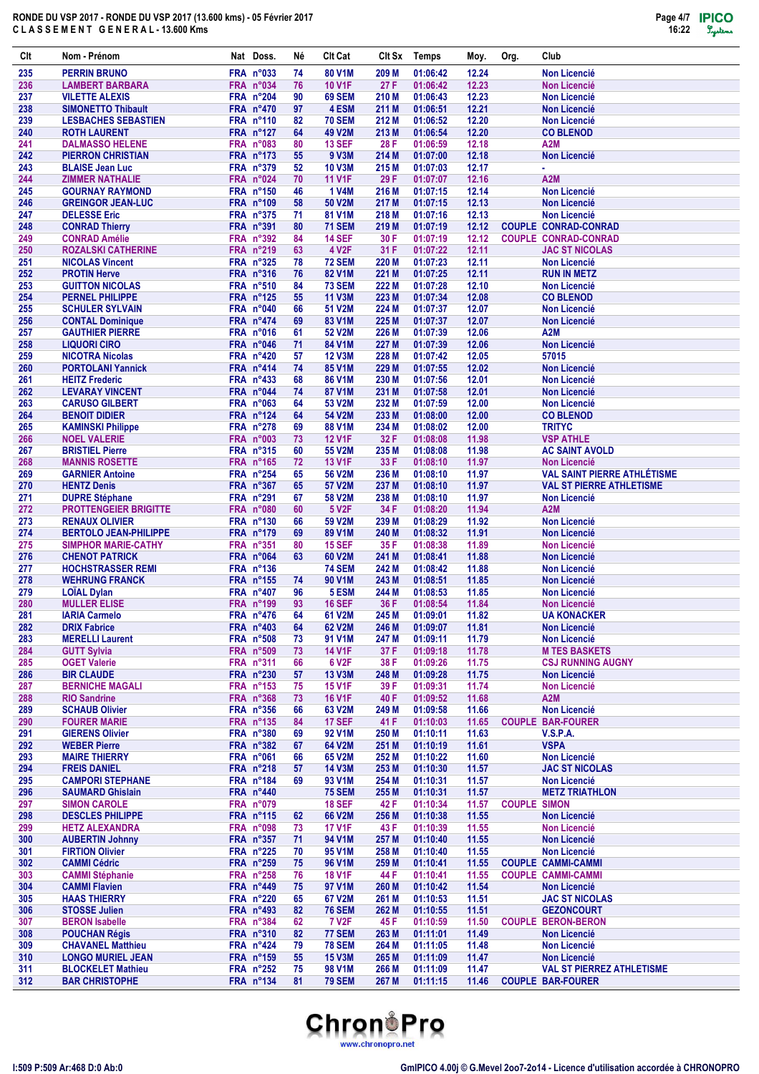

| Clt        | Nom - Prénom                                          | Nat Doss.                     | Νé       | <b>CIt Cat</b>                 |                | Clt Sx Temps         | Moy.           | Org.                | Club                                                   |
|------------|-------------------------------------------------------|-------------------------------|----------|--------------------------------|----------------|----------------------|----------------|---------------------|--------------------------------------------------------|
| 235        | <b>PERRIN BRUNO</b>                                   | <b>FRA n°033</b>              | 74       | 80 V1M                         | 209 M          | 01:06:42             | 12.24          |                     | <b>Non Licencié</b>                                    |
| 236        | <b>LAMBERT BARBARA</b>                                | FRA n°034                     | 76       | <b>10 V1F</b>                  | 27 F           | 01:06:42             | 12.23          |                     | <b>Non Licencié</b>                                    |
| 237        | <b>VILETTE ALEXIS</b>                                 | FRA n°204                     | 90       | <b>69 SEM</b>                  | 210 M          | 01:06:43             | 12.23          |                     | <b>Non Licencié</b>                                    |
| 238        | <b>SIMONETTO Thibault</b>                             | <b>FRA n°470</b>              | 97       | 4 ESM                          | 211 M          | 01:06:51             | 12.21          |                     | <b>Non Licencié</b>                                    |
| 239        | <b>LESBACHES SEBASTIEN</b>                            | <b>FRA n°110</b>              | 82       | <b>70 SEM</b>                  | 212 M          | 01:06:52             | 12.20          |                     | <b>Non Licencié</b>                                    |
| 240<br>241 | <b>ROTH LAURENT</b><br><b>DALMASSO HELENE</b>         | FRA n°127<br>FRA n°083        | 64<br>80 | 49 V2M<br><b>13 SEF</b>        | 213 M<br>28 F  | 01:06:54<br>01:06:59 | 12.20<br>12.18 |                     | <b>CO BLENOD</b><br>A2M                                |
| 242        | <b>PIERRON CHRISTIAN</b>                              | FRA n°173                     | 55       | 9 V3M                          | 214 M          | 01:07:00             | 12.18          |                     | <b>Non Licencié</b>                                    |
| 243        | <b>BLAISE Jean Luc</b>                                | <b>FRA n°379</b>              | 52       | <b>10 V3M</b>                  | 215 M          | 01:07:03             | 12.17          |                     | ä,                                                     |
| 244        | <b>ZIMMER NATHALIE</b>                                | FRA n°024                     | 70       | <b>11 V1F</b>                  | 29 F           | 01:07:07             | 12.16          |                     | A <sub>2</sub> M                                       |
| 245        | <b>GOURNAY RAYMOND</b>                                | FRA n°150                     | 46       | <b>1 V4M</b>                   | 216 M          | 01:07:15             | 12.14          |                     | <b>Non Licencié</b>                                    |
| 246        | <b>GREINGOR JEAN-LUC</b>                              | <b>FRA n°109</b>              | 58       | 50 V2M                         | 217 M          | 01:07:15             | 12.13          |                     | <b>Non Licencié</b>                                    |
| 247        | <b>DELESSE Eric</b>                                   | <b>FRA n°375</b>              | 71       | 81 V1M                         | 218 M          | 01:07:16             | 12.13          |                     | <b>Non Licencié</b>                                    |
| 248        | <b>CONRAD Thierry</b>                                 | <b>FRA n°391</b>              | 80       | <b>71 SEM</b>                  | 219 M          | 01:07:19             | 12.12          |                     | <b>COUPLE CONRAD-CONRAD</b>                            |
| 249        | <b>CONRAD Amélie</b>                                  | <b>FRA n°392</b>              | 84       | <b>14 SEF</b>                  | 30 F           | 01:07:19             | 12.12          |                     | <b>COUPLE CONRAD-CONRAD</b>                            |
| 250<br>251 | <b>ROZALSKI CATHERINE</b><br><b>NICOLAS Vincent</b>   | FRA n°219<br><b>FRA n°325</b> | 63<br>78 | <b>4 V2F</b><br><b>72 SEM</b>  | 31 F<br>220 M  | 01:07:22<br>01:07:23 | 12.11<br>12.11 |                     | <b>JAC ST NICOLAS</b><br><b>Non Licencié</b>           |
| 252        | <b>PROTIN Herve</b>                                   | FRA n°316                     | 76       | 82 V1M                         | 221 M          | 01:07:25             | 12.11          |                     | <b>RUN IN METZ</b>                                     |
| 253        | <b>GUITTON NICOLAS</b>                                | <b>FRA n°510</b>              | 84       | <b>73 SEM</b>                  | 222 M          | 01:07:28             | 12.10          |                     | <b>Non Licencié</b>                                    |
| 254        | <b>PERNEL PHILIPPE</b>                                | FRA n°125                     | 55       | <b>11 V3M</b>                  | 223 M          | 01:07:34             | 12.08          |                     | <b>CO BLENOD</b>                                       |
| 255        | <b>SCHULER SYLVAIN</b>                                | FRA n°040                     | 66       | 51 V2M                         | 224 M          | 01:07:37             | 12.07          |                     | <b>Non Licencié</b>                                    |
| 256        | <b>CONTAL Dominique</b>                               | FRA n°474                     | 69       | 83 V1M                         | 225 M          | 01:07:37             | 12.07          |                     | <b>Non Licencié</b>                                    |
| 257        | <b>GAUTHIER PIERRE</b>                                | FRA n°016                     | 61       | 52 V2M                         | 226 M          | 01:07:39             | 12.06          |                     | A2M                                                    |
| 258        | <b>LIQUORI CIRO</b>                                   | FRA n°046                     | 71       | 84 V1M                         | 227 M          | 01:07:39             | 12.06          |                     | <b>Non Licencié</b>                                    |
| 259        | <b>NICOTRA Nicolas</b>                                | FRA n°420                     | 57       | <b>12 V3M</b>                  | 228 M          | 01:07:42             | 12.05          |                     | 57015                                                  |
| 260<br>261 | <b>PORTOLANI Yannick</b><br><b>HEITZ Frederic</b>     | FRA n°414<br><b>FRA nº433</b> | 74<br>68 | 85 V1M<br>86 V1M               | 229 M<br>230 M | 01:07:55<br>01:07:56 | 12.02<br>12.01 |                     | <b>Non Licencié</b><br><b>Non Licencié</b>             |
| 262        | <b>LEVARAY VINCENT</b>                                | FRA n°044                     | 74       | 87 V1M                         | 231 M          | 01:07:58             | 12.01          |                     | <b>Non Licencié</b>                                    |
| 263        | <b>CARUSO GILBERT</b>                                 | <b>FRA n°063</b>              | 64       | 53 V2M                         | 232 M          | 01:07:59             | 12.00          |                     | <b>Non Licencié</b>                                    |
| 264        | <b>BENOIT DIDIER</b>                                  | FRA n°124                     | 64       | 54 V2M                         | 233 M          | 01:08:00             | 12.00          |                     | <b>CO BLENOD</b>                                       |
| 265        | <b>KAMINSKI Philippe</b>                              | <b>FRA n°278</b>              | 69       | 88 V1M                         | 234 M          | 01:08:02             | 12.00          |                     | <b>TRITYC</b>                                          |
| 266        | <b>NOEL VALERIE</b>                                   | FRA n°003                     | 73       | <b>12 V1F</b>                  | 32 F           | 01:08:08             | 11.98          |                     | <b>VSP ATHLE</b>                                       |
| 267        | <b>BRISTIEL Pierre</b>                                | <b>FRA n°315</b>              | 60       | 55 V2M                         | 235 M          | 01:08:08             | 11.98          |                     | <b>AC SAINT AVOLD</b>                                  |
| 268        | <b>MANNIS ROSETTE</b>                                 | FRA n°165                     | 72       | <b>13 V1F</b>                  | 33 F           | 01:08:10             | 11.97          |                     | <b>Non Licencié</b>                                    |
| 269        | <b>GARNIER Antoine</b>                                | FRA n°254                     | 65       | 56 V2M                         | 236 M          | 01:08:10             | 11.97          |                     | <b>VAL SAINT PIERRE ATHLÉTISME</b>                     |
| 270<br>271 | <b>HENTZ Denis</b>                                    | FRA n°367<br>FRA n°291        | 65<br>67 | 57 V2M<br>58 V2M               | 237 M<br>238 M | 01:08:10<br>01:08:10 | 11.97<br>11.97 |                     | <b>VAL ST PIERRE ATHLETISME</b><br><b>Non Licencié</b> |
| 272        | <b>DUPRE Stéphane</b><br><b>PROTTENGEIER BRIGITTE</b> | FRA n°080                     | 60       | 5 V <sub>2</sub> F             | 34 F           | 01:08:20             | 11.94          |                     | A <sub>2</sub> M                                       |
| 273        | <b>RENAUX OLIVIER</b>                                 | <b>FRA n°130</b>              | 66       | 59 V2M                         | 239 M          | 01:08:29             | 11.92          |                     | <b>Non Licencié</b>                                    |
| 274        | <b>BERTOLO JEAN-PHILIPPE</b>                          | FRA n°179                     | 69       | 89 V1M                         | 240 M          | 01:08:32             | 11.91          |                     | <b>Non Licencié</b>                                    |
| 275        | <b>SIMPHOR MARIE-CATHY</b>                            | FRA n°351                     | 80       | <b>15 SEF</b>                  | 35 F           | 01:08:38             | 11.89          |                     | <b>Non Licencié</b>                                    |
| 276        | <b>CHENOT PATRICK</b>                                 | FRA n°064                     | 63       | 60 V2M                         | 241 M          | 01:08:41             | 11.88          |                     | <b>Non Licencié</b>                                    |
| 277        | <b>HOCHSTRASSER REMI</b>                              | FRA n°136                     |          | <b>74 SEM</b>                  | 242 M          | 01:08:42             | 11.88          |                     | <b>Non Licencié</b>                                    |
| 278        | <b>WEHRUNG FRANCK</b>                                 | FRA n°155                     | 74       | 90 V <sub>1</sub> M            | 243 M          | 01:08:51             | 11.85          |                     | <b>Non Licencié</b>                                    |
| 279<br>280 | <b>LOÏAL Dylan</b><br><b>MULLER ELISE</b>             | <b>FRA n°407</b><br>FRA n°199 | 96<br>93 | 5 ESM<br><b>16 SEF</b>         | 244 M<br>36 F  | 01:08:53<br>01:08:54 | 11.85<br>11.84 |                     | <b>Non Licencié</b><br>Non Licencié                    |
| 281        | <b>IARIA Carmelo</b>                                  | FRA n°476                     | 64       | 61 V2M                         |                | 245 M 01:09:01       | 11.82          |                     | <b>UA KONACKER</b>                                     |
| 282        | <b>DRIX Fabrice</b>                                   | <b>FRA n°403</b>              | 64       | 62 V2M                         | 246 M          | 01:09:07             | 11.81          |                     | Non Licencié                                           |
| 283        | <b>MERELLI Laurent</b>                                | FRA n°508                     | 73       | 91 V1M                         | 247 M          | 01:09:11             | 11.79          |                     | <b>Non Licencié</b>                                    |
| 284        | <b>GUTT Sylvia</b>                                    | FRA n°509                     | 73       | <b>14 V1F</b>                  | 37 F           | 01:09:18             | 11.78          |                     | <b>M TES BASKETS</b>                                   |
| 285        | <b>OGET Valerie</b>                                   | <b>FRA n°311</b>              | 66       | 6 V <sub>2</sub> F             | 38 F           | 01:09:26             | 11.75          |                     | <b>CSJ RUNNING AUGNY</b>                               |
| 286        | <b>BIR CLAUDE</b>                                     | FRA n°230                     | 57       | <b>13 V3M</b>                  | 248 M          | 01:09:28             | 11.75          |                     | <b>Non Licencié</b>                                    |
| 287        | <b>BERNICHE MAGALI</b>                                | FRA n°153                     | 75       | <b>15 V1F</b>                  | 39 F           | 01:09:31             | 11.74          |                     | Non Licencié                                           |
| 288<br>289 | <b>RIO Sandrine</b>                                   | FRA n°368<br><b>FRA n°356</b> | 73       | <b>16 V1F</b><br>63 V2M        | 40 F           | 01:09:52             | 11.68          |                     | A2M<br><b>Non Licencié</b>                             |
| 290        | <b>SCHAUB Olivier</b><br><b>FOURER MARIE</b>          | FRA n°135                     | 66<br>84 | <b>17 SEF</b>                  | 249 M<br>41 F  | 01:09:58<br>01:10:03 | 11.66<br>11.65 |                     | <b>COUPLE BAR-FOURER</b>                               |
| 291        | <b>GIERENS Olivier</b>                                | FRA n°380                     | 69       | 92 V1M                         | 250 M          | 01:10:11             | 11.63          |                     | V.S.P.A.                                               |
| 292        | <b>WEBER Pierre</b>                                   | <b>FRA n°382</b>              | 67       | 64 V2M                         | 251 M          | 01:10:19             | 11.61          |                     | <b>VSPA</b>                                            |
| 293        | <b>MAIRE THIERRY</b>                                  | FRA n°061                     | 66       | 65 V2M                         | 252 M          | 01:10:22             | 11.60          |                     | Non Licencié                                           |
| 294        | <b>FREIS DANIEL</b>                                   | $FRA$ n°218                   | 57       | <b>14 V3M</b>                  | 253 M          | 01:10:30             | 11.57          |                     | <b>JAC ST NICOLAS</b>                                  |
| 295        | <b>CAMPORI STEPHANE</b>                               | FRA n°184                     | 69       | 93 V1M                         | 254 M          | 01:10:31             | 11.57          |                     | <b>Non Licencié</b>                                    |
| 296        | <b>SAUMARD Ghislain</b>                               | FRA n°440                     |          | <b>75 SEM</b>                  | 255 M          | 01:10:31             | 11.57          |                     | <b>METZ TRIATHLON</b>                                  |
| 297        | <b>SIMON CAROLE</b>                                   | FRA $n^{\circ}079$            |          | <b>18 SEF</b>                  | 42 F           | 01:10:34             | 11.57          | <b>COUPLE SIMON</b> |                                                        |
| 298<br>299 | <b>DESCLES PHILIPPE</b><br><b>HETZ ALEXANDRA</b>      | FRA n°115<br>FRA n°098        | 62<br>73 | 66 V2M<br><b>17 V1F</b>        | 256 M<br>43 F  | 01:10:38<br>01:10:39 | 11.55<br>11.55 |                     | Non Licencié<br><b>Non Licencié</b>                    |
| 300        | <b>AUBERTIN Johnny</b>                                | <b>FRA n°357</b>              | 71       | 94 V1M                         | 257 M          | 01:10:40             | 11.55          |                     | Non Licencié                                           |
| 301        | <b>FIRTION Olivier</b>                                | FRA n°225                     | 70       | 95 V1M                         | 258 M          | 01:10:40             | 11.55          |                     | Non Licencié                                           |
| 302        | <b>CAMMI Cédric</b>                                   | FRA n°259                     | 75       | 96 V1M                         | 259 M          | 01:10:41             | 11.55          |                     | <b>COUPLE CAMMI-CAMMI</b>                              |
| 303        | <b>CAMMI Stéphanie</b>                                | FRA n°258                     | 76       | <b>18 V1F</b>                  | 44 F           | 01:10:41             | 11.55          |                     | <b>COUPLE CAMMI-CAMMI</b>                              |
| 304        | <b>CAMMI Flavien</b>                                  | $FRA$ n°449                   | 75       | 97 V1M                         | 260 M          | 01:10:42             | 11.54          |                     | <b>Non Licencié</b>                                    |
| 305        | <b>HAAS THIERRY</b>                                   | <b>FRA n°220</b>              | 65       | 67 V2M                         | 261 M          | 01:10:53             | 11.51          |                     | <b>JAC ST NICOLAS</b>                                  |
| 306        | <b>STOSSE Julien</b>                                  | FRA n°493                     | 82       | <b>76 SEM</b>                  | 262 M          | 01:10:55             | 11.51          |                     | <b>GEZONCOURT</b>                                      |
| 307        | <b>BERON Isabelle</b>                                 | FRA n°384                     | 62       | <b>7 V2F</b>                   | 45 F           | 01:10:59             | 11.50          |                     | <b>COUPLE BERON-BERON</b>                              |
| 308<br>309 | <b>POUCHAN Régis</b><br><b>CHAVANEL Matthieu</b>      | FRA n°310<br>FRA n°424        | 82<br>79 | <b>77 SEM</b><br><b>78 SEM</b> | 263 M<br>264 M | 01:11:01<br>01:11:05 | 11.49<br>11.48 |                     | <b>Non Licencié</b><br>Non Licencié                    |
| 310        | <b>LONGO MURIEL JEAN</b>                              | FRA n°159                     | 55       | <b>15 V3M</b>                  | 265 M          | 01:11:09             | 11.47          |                     | Non Licencié                                           |
| 311        | <b>BLOCKELET Mathieu</b>                              | <b>FRA n°252</b>              | 75       | 98 V1M                         | 266 M          | 01:11:09             | 11.47          |                     | <b>VAL ST PIERREZ ATHLETISME</b>                       |
| 312        | <b>BAR CHRISTOPHE</b>                                 | FRA n°134                     | 81       | <b>79 SEM</b>                  | 267 M          | 01:11:15             | 11.46          |                     | <b>COUPLE BAR-FOURER</b>                               |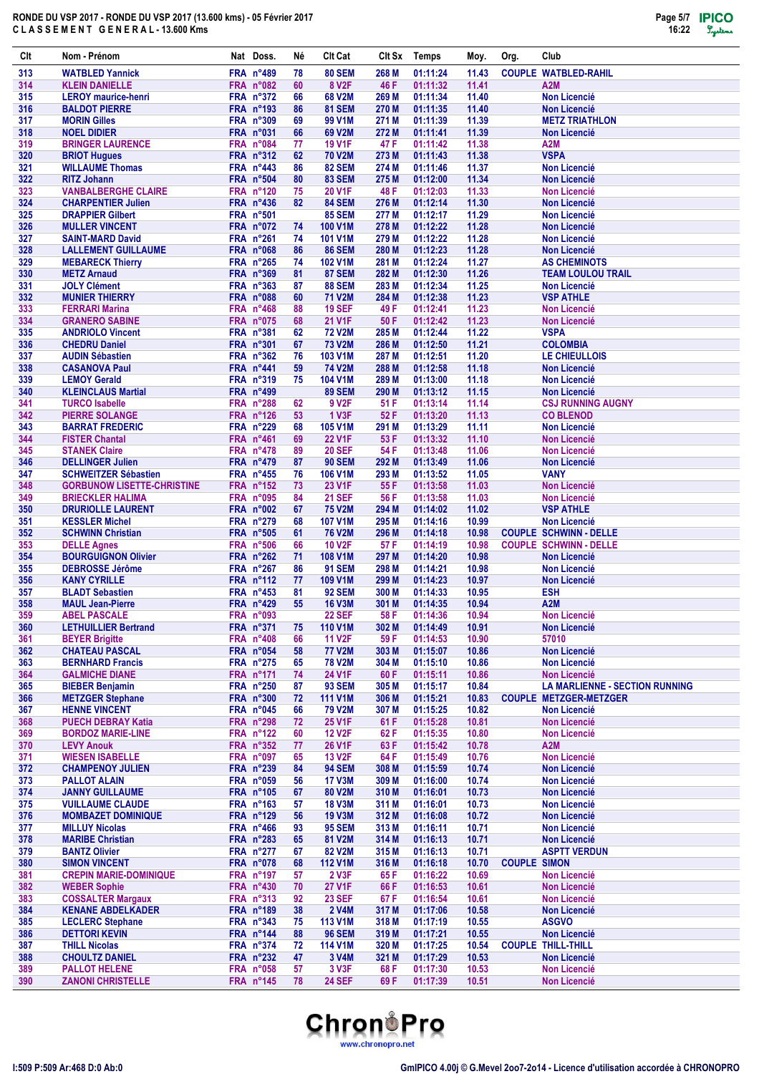

| Clt        | Nom - Prénom                                          | Nat Doss.                       | Né       | <b>CIt Cat</b>                   | Clt Sx         | Temps                | Moy.           | Org.                | Club                                                 |
|------------|-------------------------------------------------------|---------------------------------|----------|----------------------------------|----------------|----------------------|----------------|---------------------|------------------------------------------------------|
| 313        | <b>WATBLED Yannick</b>                                | FRA n°489                       | 78       | <b>80 SEM</b>                    | 268 M          | 01:11:24             | 11.43          |                     | <b>COUPLE WATBLED-RAHIL</b>                          |
| 314        | <b>KLEIN DANIELLE</b>                                 | FRA n°082<br>FRA n°372          | 60       | 8 V <sub>2</sub> F               | 46 F           | 01:11:32             | 11.41<br>11.40 |                     | A2M                                                  |
| 315<br>316 | <b>LEROY</b> maurice-henri<br><b>BALDOT PIERRE</b>    | FRA n°193                       | 66<br>86 | 68 V2M<br><b>81 SEM</b>          | 269 M<br>270 M | 01:11:34<br>01:11:35 | 11.40          |                     | <b>Non Licencié</b><br><b>Non Licencié</b>           |
| 317        | <b>MORIN Gilles</b>                                   | <b>FRA n°309</b>                | 69       | 99 V1M                           | 271 M          | 01:11:39             | 11.39          |                     | <b>METZ TRIATHLON</b>                                |
| 318        | <b>NOEL DIDIER</b>                                    | FRA n°031                       | 66       | 69 V2M                           | 272 M          | 01:11:41             | 11.39          |                     | <b>Non Licencié</b>                                  |
| 319        | <b>BRINGER LAURENCE</b>                               | FRA n°084                       | 77       | <b>19 V1F</b>                    | 47 F           | 01:11:42             | 11.38          |                     | A <sub>2</sub> M                                     |
| 320<br>321 | <b>BRIOT Hugues</b>                                   | <b>FRA n°312</b>                | 62       | <b>70 V2M</b><br>82 SEM          | 273 M          | 01:11:43             | 11.38          |                     | <b>VSPA</b>                                          |
| 322        | <b>WILLAUME Thomas</b><br><b>RITZ Johann</b>          | FRA $n^{\circ}443$<br>FRA n°504 | 86<br>80 | <b>83 SEM</b>                    | 274 M<br>275 M | 01:11:46<br>01:12:00 | 11.37<br>11.34 |                     | <b>Non Licencié</b><br><b>Non Licencié</b>           |
| 323        | <b>VANBALBERGHE CLAIRE</b>                            | FRA n°120                       | 75       | <b>20 V1F</b>                    | 48 F           | 01:12:03             | 11.33          |                     | <b>Non Licencié</b>                                  |
| 324        | <b>CHARPENTIER Julien</b>                             | FRA n°436                       | 82       | <b>84 SEM</b>                    | 276 M          | 01:12:14             | 11.30          |                     | <b>Non Licencié</b>                                  |
| 325        | <b>DRAPPIER Gilbert</b>                               | <b>FRA n°501</b>                |          | <b>85 SEM</b>                    | 277 M          | 01:12:17             | 11.29          |                     | <b>Non Licencié</b>                                  |
| 326<br>327 | <b>MULLER VINCENT</b>                                 | FRA $n^{\circ}072$<br>FRA n°261 | 74<br>74 | <b>100 V1M</b><br><b>101 V1M</b> | 278 M<br>279 M | 01:12:22<br>01:12:22 | 11.28<br>11.28 |                     | <b>Non Licencié</b>                                  |
| 328        | <b>SAINT-MARD David</b><br><b>LALLEMENT GUILLAUME</b> | FRA n°068                       | 86       | <b>86 SEM</b>                    | 280 M          | 01:12:23             | 11.28          |                     | <b>Non Licencié</b><br><b>Non Licencié</b>           |
| 329        | <b>MEBARECK Thierry</b>                               | FRA n°265                       | 74       | <b>102 V1M</b>                   | 281 M          | 01:12:24             | 11.27          |                     | <b>AS CHEMINOTS</b>                                  |
| 330        | <b>METZ Arnaud</b>                                    | FRA n°369                       | 81       | <b>87 SEM</b>                    | 282 M          | 01:12:30             | 11.26          |                     | <b>TEAM LOULOU TRAIL</b>                             |
| 331        | <b>JOLY Clément</b>                                   | FRA n°363                       | 87       | <b>88 SEM</b>                    | 283 M          | 01:12:34             | 11.25          |                     | <b>Non Licencié</b>                                  |
| 332<br>333 | <b>MUNIER THIERRY</b><br><b>FERRARI Marina</b>        | FRA n°088<br><b>FRA n°468</b>   | 60<br>88 | <b>71 V2M</b><br><b>19 SEF</b>   | 284 M<br>49 F  | 01:12:38<br>01:12:41 | 11.23<br>11.23 |                     | <b>VSP ATHLE</b><br><b>Non Licencié</b>              |
| 334        | <b>GRANERO SABINE</b>                                 | FRA n°075                       | 68       | <b>21 V1F</b>                    | 50 F           | 01:12:42             | 11.23          |                     | <b>Non Licencié</b>                                  |
| 335        | <b>ANDRIOLO Vincent</b>                               | FRA n°381                       | 62       | <b>72 V2M</b>                    | 285 M          | 01:12:44             | 11.22          |                     | <b>VSPA</b>                                          |
| 336        | <b>CHEDRU Daniel</b>                                  | FRA n°301                       | 67       | <b>73 V2M</b>                    | 286 M          | 01:12:50             | 11.21          |                     | <b>COLOMBIA</b>                                      |
| 337        | <b>AUDIN Sébastien</b>                                | FRA n°362                       | 76       | 103 V1M                          | 287 M          | 01:12:51             | 11.20          |                     | LE CHIEULLOIS                                        |
| 338<br>339 | <b>CASANOVA Paul</b><br><b>LEMOY Gerald</b>           | FRA n°441<br><b>FRA n°319</b>   | 59<br>75 | <b>74 V2M</b><br><b>104 V1M</b>  | 288 M<br>289 M | 01:12:58<br>01:13:00 | 11.18<br>11.18 |                     | <b>Non Licencié</b><br><b>Non Licencié</b>           |
| 340        | <b>KLEINCLAUS Martial</b>                             | <b>FRA n°499</b>                |          | <b>89 SEM</b>                    | 290 M          | 01:13:12             | 11.15          |                     | <b>Non Licencié</b>                                  |
| 341        | <b>TURCO Isabelle</b>                                 | <b>FRA n°288</b>                | 62       | 9 V <sub>2</sub> F               | 51 F           | 01:13:14             | 11.14          |                     | <b>CSJ RUNNING AUGNY</b>                             |
| 342        | <b>PIERRE SOLANGE</b>                                 | FRA n°126                       | 53       | 1 V3F                            | 52 F           | 01:13:20             | 11.13          |                     | <b>CO BLENOD</b>                                     |
| 343        | <b>BARRAT FREDERIC</b>                                | FRA n°229                       | 68       | <b>105 V1M</b>                   | 291 M          | 01:13:29             | 11.11          |                     | <b>Non Licencié</b>                                  |
| 344<br>345 | <b>FISTER Chantal</b><br><b>STANEK Claire</b>         | FRA n°461<br>FRA n°478          | 69<br>89 | <b>22 V1F</b><br><b>20 SEF</b>   | 53 F<br>54 F   | 01:13:32<br>01:13:48 | 11.10<br>11.06 |                     | <b>Non Licencié</b><br><b>Non Licencié</b>           |
| 346        | <b>DELLINGER Julien</b>                               | FRA n°479                       | 87       | <b>90 SEM</b>                    | 292 M          | 01:13:49             | 11.06          |                     | <b>Non Licencié</b>                                  |
| 347        | <b>SCHWEITZER Sébastien</b>                           | FRA n°455                       | 76       | <b>106 V1M</b>                   | 293 M          | 01:13:52             | 11.05          |                     | <b>VANY</b>                                          |
| 348        | <b>GORBUNOW LISETTE-CHRISTINE</b>                     | FRA n°152                       | 73       | 23 V1F                           | 55 F           | 01:13:58             | 11.03          |                     | <b>Non Licencié</b>                                  |
| 349        | <b>BRIECKLER HALIMA</b>                               | <b>FRA n°095</b>                | 84       | <b>21 SEF</b>                    | 56 F           | 01:13:58             | 11.03          |                     | <b>Non Licencié</b>                                  |
| 350<br>351 | <b>DRURIOLLE LAURENT</b><br><b>KESSLER Michel</b>     | FRA n°002<br><b>FRA n°279</b>   | 67<br>68 | <b>75 V2M</b><br><b>107 V1M</b>  | 294 M<br>295 M | 01:14:02<br>01:14:16 | 11.02<br>10.99 |                     | <b>VSP ATHLE</b><br><b>Non Licencié</b>              |
| 352        | <b>SCHWINN Christian</b>                              | <b>FRA n°505</b>                | 61       | <b>76 V2M</b>                    | 296 M          | 01:14:18             | 10.98          |                     | <b>COUPLE SCHWINN - DELLE</b>                        |
| 353        | <b>DELLE Agnes</b>                                    | <b>FRA n°506</b>                | 66       | <b>10 V2F</b>                    | 57 F           | 01:14:19             | 10.98          |                     | <b>COUPLE SCHWINN - DELLE</b>                        |
| 354        | <b>BOURGUIGNON Olivier</b>                            | FRA n°262                       | 71       | <b>108 V1M</b>                   | 297 M          | 01:14:20             | 10.98          |                     | <b>Non Licencié</b>                                  |
| 355<br>356 | <b>DEBROSSE Jérôme</b><br><b>KANY CYRILLE</b>         | FRA n°267<br>FRA n°112          | 86<br>77 | <b>91 SEM</b><br><b>109 V1M</b>  | 298 M<br>299 M | 01:14:21<br>01:14:23 | 10.98<br>10.97 |                     | <b>Non Licencié</b><br>Non Licencié                  |
| 357        | <b>BLADT Sebastien</b>                                | FRA n°453                       | 81       | <b>92 SEM</b>                    | 300 M          | 01:14:33             | 10.95          |                     | <b>ESH</b>                                           |
| 358        | <b>MAUL Jean-Pierre</b>                               | FRA n°429                       | 55       | <b>16 V3M</b>                    | 301 M          | 01:14:35             | 10.94          |                     | A <sub>2</sub> M                                     |
| 359        | <b>ABEL PASCALE</b>                                   | FRA n°093                       |          | <b>22 SEF</b>                    | 58 F           | 01:14:36             | 10.94          |                     | Non Licencié                                         |
| 360        | <b>LETHUILLIER Bertrand</b>                           | FRA n°371                       | 75       | <b>110 V1M</b>                   | 302 M          | 01:14:49             | 10.91          |                     | Non Licencié                                         |
| 361<br>362 | <b>BEYER Brigitte</b><br><b>CHATEAU PASCAL</b>        | FRA n°408<br>FRA n°054          | 66<br>58 | <b>11 V2F</b><br><b>77 V2M</b>   | 59 F<br>303 M  | 01:14:53<br>01:15:07 | 10.90<br>10.86 |                     | 57010<br><b>Non Licencié</b>                         |
| 363        | <b>BERNHARD Francis</b>                               | FRA n°275                       | 65       | <b>78 V2M</b>                    | 304 M          | 01:15:10             | 10.86          |                     | <b>Non Licencié</b>                                  |
| 364        | <b>GALMICHE DIANE</b>                                 | FRA n°171                       | 74       | <b>24 V1F</b>                    | 60 F           | 01:15:11             | 10.86          |                     | <b>Non Licencié</b>                                  |
| 365        | <b>BIEBER Benjamin</b>                                | FRA n°250                       | 87       | <b>93 SEM</b>                    | 305 M          | 01:15:17             | 10.84          |                     | <b>LA MARLIENNE - SECTION RUNNING</b>                |
| 366<br>367 | <b>METZGER Stephane</b><br><b>HENNE VINCENT</b>       | FRA n°300<br>FRA n°045          | 72       | <b>111 V1M</b><br><b>79 V2M</b>  | 306 M          | 01:15:21             | 10.83<br>10.82 |                     | <b>COUPLE METZGER-METZGER</b><br><b>Non Licencié</b> |
| 368        | <b>PUECH DEBRAY Katia</b>                             | FRA n°298                       | 66<br>72 | <b>25 V1F</b>                    | 307 M<br>61 F  | 01:15:25<br>01:15:28 | 10.81          |                     | <b>Non Licencié</b>                                  |
| 369        | <b>BORDOZ MARIE-LINE</b>                              | FRA n°122                       | 60       | <b>12 V2F</b>                    | 62 F           | 01:15:35             | 10.80          |                     | <b>Non Licencié</b>                                  |
| 370        | <b>LEVY Anouk</b>                                     | FRA n°352                       | 77       | <b>26 V1F</b>                    | 63 F           | 01:15:42             | 10.78          |                     | A2M                                                  |
| 371        | <b>WIESEN ISABELLE</b>                                | FRA n°097                       | 65       | <b>13 V2F</b>                    | 64 F           | 01:15:49             | 10.76          |                     | Non Licencié                                         |
| 372<br>373 | <b>CHAMPENOY JULIEN</b><br><b>PALLOT ALAIN</b>        | FRA n°239<br>FRA n°059          | 84<br>56 | <b>94 SEM</b><br><b>17 V3M</b>   | 308 M<br>309 M | 01:15:59<br>01:16:00 | 10.74<br>10.74 |                     | <b>Non Licencié</b><br><b>Non Licencié</b>           |
| 374        | <b>JANNY GUILLAUME</b>                                | FRA n°105                       | 67       | 80 V2M                           | 310 M          | 01:16:01             | 10.73          |                     | <b>Non Licencié</b>                                  |
| 375        | <b>VUILLAUME CLAUDE</b>                               | FRA n°163                       | 57       | <b>18 V3M</b>                    | 311 M          | 01:16:01             | 10.73          |                     | <b>Non Licencié</b>                                  |
| 376        | <b>MOMBAZET DOMINIQUE</b>                             | FRA n°129                       | 56       | <b>19 V3M</b>                    | 312 M          | 01:16:08             | 10.72          |                     | Non Licencié                                         |
| 377        | <b>MILLUY Nicolas</b>                                 | FRA n°466                       | 93       | <b>95 SEM</b>                    | 313 M          | 01:16:11             | 10.71          |                     | Non Licencié                                         |
| 378<br>379 | <b>MARIBE Christian</b><br><b>BANTZ Olivier</b>       | FRA n°283<br><b>FRA n°277</b>   | 65<br>67 | 81 V2M<br>82 V2M                 | 314 M<br>315 M | 01:16:13<br>01:16:13 | 10.71<br>10.71 |                     | Non Licencié<br><b>ASPTT VERDUN</b>                  |
| 380        | <b>SIMON VINCENT</b>                                  | FRA n°078                       | 68       | <b>112 V1M</b>                   | 316 M          | 01:16:18             | 10.70          | <b>COUPLE SIMON</b> |                                                      |
| 381        | <b>CREPIN MARIE-DOMINIQUE</b>                         | FRA $n^{\circ}197$              | 57       | 2 V3F                            | 65 F           | 01:16:22             | 10.69          |                     | <b>Non Licencié</b>                                  |
| 382        | <b>WEBER Sophie</b>                                   | FRA n°430                       | 70       | <b>27 V1F</b>                    | 66 F           | 01:16:53             | 10.61          |                     | <b>Non Licencié</b>                                  |
| 383        | <b>COSSALTER Margaux</b>                              | <b>FRA n°313</b>                | 92       | <b>23 SEF</b>                    | 67 F           | 01:16:54             | 10.61          |                     | <b>Non Licencié</b>                                  |
| 384<br>385 | <b>KENANE ABDELKADER</b>                              | FRA n°189<br><b>FRA n°343</b>   | 38<br>75 | <b>2 V4M</b><br>113 V1M          | 317 M          | 01:17:06             | 10.58          |                     | Non Licencié<br><b>ASGVO</b>                         |
| 386        | <b>LECLERC Stephane</b><br><b>DETTORI KEVIN</b>       | FRA n°144                       | 88       | <b>96 SEM</b>                    | 318 M<br>319 M | 01:17:19<br>01:17:21 | 10.55<br>10.55 |                     | <b>Non Licencié</b>                                  |
| 387        | <b>THILL Nicolas</b>                                  | <b>FRA n°374</b>                | 72       | <b>114 V1M</b>                   | 320 M          | 01:17:25             | 10.54          |                     | <b>COUPLE THILL-THILL</b>                            |
| 388        | <b>CHOULTZ DANIEL</b>                                 | FRA n°232                       | 47       | 3 V4M                            | 321 M          | 01:17:29             | 10.53          |                     | Non Licencié                                         |
| 389        | <b>PALLOT HELENE</b>                                  | FRA n°058                       | 57       | 3 V3F                            | 68 F           | 01:17:30             | 10.53          |                     | Non Licencié                                         |
| 390        | <b>ZANONI CHRISTELLE</b>                              | FRA n°145                       | 78       | <b>24 SEF</b>                    | 69 F           | 01:17:39             | 10.51          |                     | Non Licencié                                         |

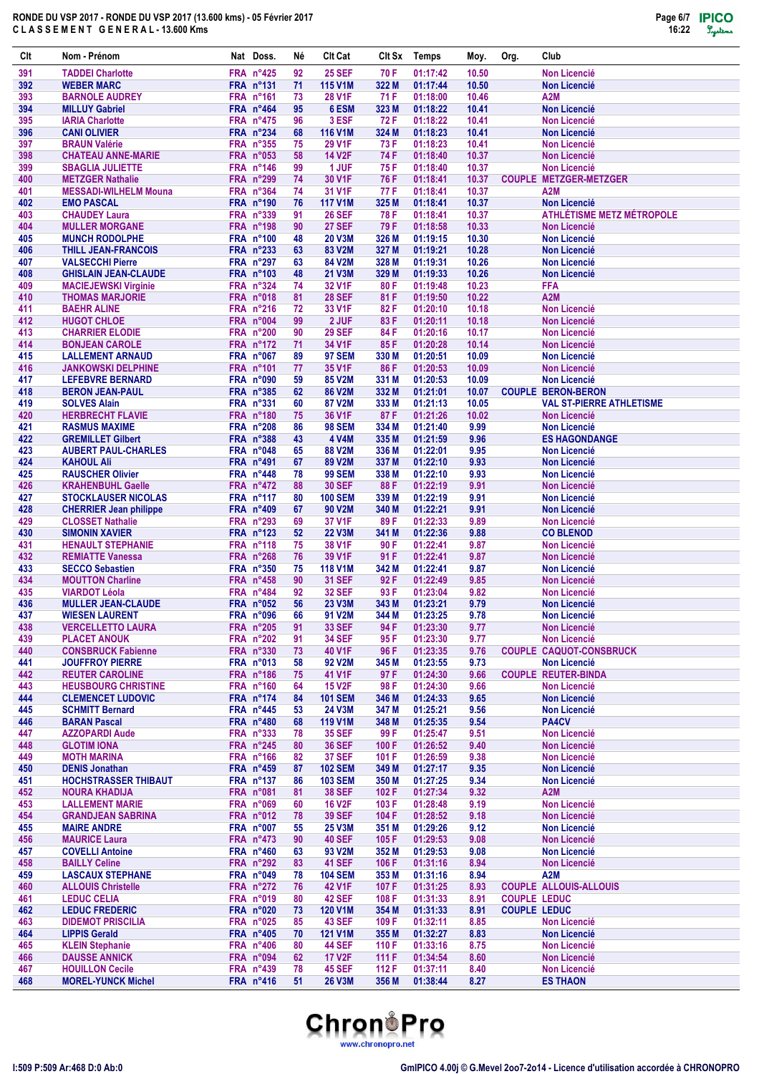

| Clt        | Nom - Prénom                                                | Nat Doss.                            | Né       | <b>CIt Cat</b>                  | Clt Sx         | Temps                | Moy.           | Org.                | Club                                        |
|------------|-------------------------------------------------------------|--------------------------------------|----------|---------------------------------|----------------|----------------------|----------------|---------------------|---------------------------------------------|
| 391        | <b>TADDEI Charlotte</b>                                     | <b>FRA n°425</b>                     | 92       | <b>25 SEF</b>                   | 70 F           | 01:17:42             | 10.50          |                     | <b>Non Licencié</b>                         |
| 392        | <b>WEBER MARC</b>                                           | FRA n°131                            | 71       | <b>115 V1M</b>                  | 322 M          | 01:17:44             | 10.50          |                     | <b>Non Licencié</b>                         |
| 393<br>394 | <b>BARNOLE AUDREY</b><br><b>MILLUY Gabriel</b>              | FRA n°161<br>FRA n°464               | 73<br>95 | <b>28 V1F</b><br>6 ESM          | 71 F<br>323 M  | 01:18:00<br>01:18:22 | 10.46<br>10.41 |                     | A2M<br><b>Non Licencié</b>                  |
| 395        | <b>IARIA Charlotte</b>                                      | FRA n°475                            | 96       | 3 ESF                           | 72 F           | 01:18:22             | 10.41          |                     | <b>Non Licencié</b>                         |
| 396        | <b>CANI OLIVIER</b>                                         | FRA n°234                            | 68       | <b>116 V1M</b>                  | 324 M          | 01:18:23             | 10.41          |                     | <b>Non Licencié</b>                         |
| 397        | <b>BRAUN Valérie</b>                                        | FRA n°355                            | 75       | 29 V1F                          | 73 F           | 01:18:23             | 10.41          |                     | <b>Non Licencié</b>                         |
| 398<br>399 | <b>CHATEAU ANNE-MARIE</b><br><b>SBAGLIA JULIETTE</b>        | FRA n°053<br>FRA n°146               | 58<br>99 | <b>14 V2F</b><br>1 JUF          | 74 F<br>75 F   | 01:18:40<br>01:18:40 | 10.37<br>10.37 |                     | <b>Non Licencié</b><br><b>Non Licencié</b>  |
| 400        | <b>METZGER Nathalie</b>                                     | FRA n°299                            | 74       | 30 V1F                          | 76 F           | 01:18:41             | 10.37          |                     | <b>COUPLE METZGER-METZGER</b>               |
| 401        | <b>MESSADI-WILHELM Mouna</b>                                | FRA n°364                            | 74       | 31 V1F                          | 77 F           | 01:18:41             | 10.37          |                     | A2M                                         |
| 402        | <b>EMO PASCAL</b>                                           | <b>FRA n°190</b>                     | 76       | <b>117 V1M</b>                  | 325 M          | 01:18:41             | 10.37          |                     | <b>Non Licencié</b>                         |
| 403        | <b>CHAUDEY Laura</b>                                        | <b>FRA n°339</b>                     | 91       | <b>26 SEF</b>                   | 78 F           | 01:18:41             | 10.37          |                     | <b>ATHLÉTISME METZ MÉTROPOLE</b>            |
| 404<br>405 | <b>MULLER MORGANE</b><br><b>MUNCH RODOLPHE</b>              | FRA n°198<br><b>FRA n°100</b>        | 90<br>48 | <b>27 SEF</b><br>20 V3M         | 79 F<br>326 M  | 01:18:58<br>01:19:15 | 10.33<br>10.30 |                     | <b>Non Licencié</b><br><b>Non Licencié</b>  |
| 406        | <b>THILL JEAN-FRANCOIS</b>                                  | FRA n°233                            | 63       | 83 V2M                          | 327 M          | 01:19:21             | 10.28          |                     | <b>Non Licencié</b>                         |
| 407        | <b>VALSECCHI Pierre</b>                                     | <b>FRA n°297</b>                     | 63       | 84 V2M                          | 328 M          | 01:19:31             | 10.26          |                     | <b>Non Licencié</b>                         |
| 408        | <b>GHISLAIN JEAN-CLAUDE</b>                                 | <b>FRA n°103</b>                     | 48       | 21 V3M                          | 329 M          | 01:19:33             | 10.26          |                     | <b>Non Licencié</b>                         |
| 409        | <b>MACIEJEWSKI Virginie</b>                                 | FRA n°324                            | 74       | 32 V1F                          | 80 F           | 01:19:48             | 10.23          |                     | <b>FFA</b>                                  |
| 410<br>411 | <b>THOMAS MARJORIE</b><br><b>BAEHR ALINE</b>                | FRA n°018<br>FRA n°216               | 81<br>72 | <b>28 SEF</b><br>33 V1F         | 81 F<br>82 F   | 01:19:50<br>01:20:10 | 10.22<br>10.18 |                     | A <sub>2</sub> M<br><b>Non Licencié</b>     |
| 412        | <b>HUGOT CHLOE</b>                                          | FRA n°004                            | 99       | 2 JUF                           | 83 F           | 01:20:11             | 10.18          |                     | <b>Non Licencié</b>                         |
| 413        | <b>CHARRIER ELODIE</b>                                      | <b>FRA n°200</b>                     | 90       | <b>29 SEF</b>                   | 84 F           | 01:20:16             | 10.17          |                     | <b>Non Licencié</b>                         |
| 414        | <b>BONJEAN CAROLE</b>                                       | FRA n°172                            | 71       | 34 V1F                          | 85 F           | 01:20:28             | 10.14          |                     | <b>Non Licencié</b>                         |
| 415        | <b>LALLEMENT ARNAUD</b>                                     | FRA n°067                            | 89       | <b>97 SEM</b>                   | 330 M          | 01:20:51             | 10.09          |                     | <b>Non Licencié</b>                         |
| 416<br>417 | <b>JANKOWSKI DELPHINE</b><br><b>LEFEBVRE BERNARD</b>        | FRA n°101<br><b>FRA n°090</b>        | 77<br>59 | 35 V1F<br>85 V2M                | 86 F<br>331 M  | 01:20:53<br>01:20:53 | 10.09<br>10.09 |                     | <b>Non Licencié</b><br><b>Non Licencié</b>  |
| 418        | <b>BERON JEAN-PAUL</b>                                      | <b>FRA n°385</b>                     | 62       | <b>86 V2M</b>                   | 332 M          | 01:21:01             | 10.07          |                     | <b>COUPLE BERON-BERON</b>                   |
| 419        | <b>SOLVES Alain</b>                                         | <b>FRA n°331</b>                     | 60       | 87 V2M                          | 333 M          | 01:21:13             | 10.05          |                     | <b>VAL ST-PIERRE ATHLETISME</b>             |
| 420        | <b>HERBRECHT FLAVIE</b>                                     | <b>FRA n°180</b>                     | 75       | 36 V1F                          | 87 F           | 01:21:26             | 10.02          |                     | <b>Non Licencié</b>                         |
| 421<br>422 | <b>RASMUS MAXIME</b><br><b>GREMILLET Gilbert</b>            | <b>FRA n°208</b><br><b>FRA n°388</b> | 86<br>43 | <b>98 SEM</b><br>4 V4M          | 334 M<br>335 M | 01:21:40<br>01:21:59 | 9.99<br>9.96   |                     | <b>Non Licencié</b><br><b>ES HAGONDANGE</b> |
| 423        | <b>AUBERT PAUL-CHARLES</b>                                  | FRA n°048                            | 65       | 88 V2M                          | 336 M          | 01:22:01             | 9.95           |                     | <b>Non Licencié</b>                         |
| 424        | <b>KAHOUL Ali</b>                                           | FRA n°491                            | 67       | 89 V2M                          | 337 M          | 01:22:10             | 9.93           |                     | <b>Non Licencié</b>                         |
| 425        | <b>RAUSCHER Olivier</b>                                     | FRA n°448                            | 78       | <b>99 SEM</b>                   | 338 M          | 01:22:10             | 9.93           |                     | <b>Non Licencié</b>                         |
| 426        | <b>KRAHENBUHL Gaelle</b>                                    | FRA n°472                            | 88       | <b>30 SEF</b>                   | 88 F           | 01:22:19             | 9.91           |                     | <b>Non Licencié</b>                         |
| 427<br>428 | <b>STOCKLAUSER NICOLAS</b><br><b>CHERRIER Jean philippe</b> | FRA n°117<br>FRA n°409               | 80<br>67 | <b>100 SEM</b><br>90 V2M        | 339 M<br>340 M | 01:22:19<br>01:22:21 | 9.91<br>9.91   |                     | <b>Non Licencié</b><br><b>Non Licencié</b>  |
| 429        | <b>CLOSSET Nathalie</b>                                     | <b>FRA n°293</b>                     | 69       | 37 V1F                          | 89 F           | 01:22:33             | 9.89           |                     | <b>Non Licencié</b>                         |
| 430        | <b>SIMONIN XAVIER</b>                                       | FRA n°123                            | 52       | <b>22 V3M</b>                   | 341 M          | 01:22:36             | 9.88           |                     | <b>CO BLENOD</b>                            |
| 431        | <b>HENAULT STEPHANIE</b>                                    | <b>FRA n°118</b>                     | 75       | 38 V1F                          | 90 F           | 01:22:41             | 9.87           |                     | <b>Non Licencié</b>                         |
| 432        | <b>REMIATTE Vanessa</b>                                     | <b>FRA n°268</b>                     | 76       | 39 V1F                          | 91 F           | 01:22:41             | 9.87           |                     | <b>Non Licencié</b>                         |
| 433<br>434 | <b>SECCO Sebastien</b><br><b>MOUTTON Charline</b>           | <b>FRA n°350</b><br>FRA n°458        | 75<br>90 | <b>118 V1M</b><br><b>31 SEF</b> | 342 M<br>92F   | 01:22:41<br>01:22:49 | 9.87<br>9.85   |                     | <b>Non Licencié</b><br><b>Non Licencié</b>  |
| 435        | <b>VIARDOT Léola</b>                                        | FRA n°484                            | 92       | <b>32 SEF</b>                   | 93 F           | 01:23:04             | 9.82           |                     | <b>Non Licencié</b>                         |
| 436        | <b>MULLER JEAN-CLAUDE</b>                                   | FRA n°052                            | 56       | 23 V3M                          | 343 M          | 01:23:21             | 9.79           |                     | <b>Non Licencié</b>                         |
| 437        | <b>WIESEN LAURENT</b>                                       | FRA n°096                            | 66       | 91 V2M                          | 344 M          | 01:23:25             | 9.78           |                     | Non Licencié                                |
| 438<br>439 | <b>VERCELLETTO LAURA</b><br><b>PLACET ANOUK</b>             | FRA n°205<br>FRA n°202               | 91<br>91 | <b>33 SEF</b><br><b>34 SEF</b>  | 94 F<br>95 F   | 01:23:30<br>01:23:30 | 9.77<br>9.77   |                     | <b>Non Licencié</b><br>Non Licencié         |
| 440        | <b>CONSBRUCK Fabienne</b>                                   | <b>FRA n°330</b>                     | 73       | <b>40 V1F</b>                   | 96 F           | 01:23:35             | 9.76           |                     | <b>COUPLE CAQUOT-CONSBRUCK</b>              |
| 441        | <b>JOUFFROY PIERRE</b>                                      | $FRA$ n°013                          | 58       | 92 V2M                          | 345 M          | 01:23:55             | 9.73           |                     | <b>Non Licencié</b>                         |
| 442        | <b>REUTER CAROLINE</b>                                      | FRA n°186                            | 75       | 41 V1F                          | 97 F           | 01:24:30             | 9.66           |                     | <b>COUPLE REUTER-BINDA</b>                  |
| 443        | <b>HEUSBOURG CHRISTINE</b>                                  | FRA n°160                            | 64       | <b>15 V2F</b>                   | 98 F           | 01:24:30             | 9.66           |                     | <b>Non Licencié</b>                         |
| 444<br>445 | <b>CLEMENCET LUDOVIC</b><br><b>SCHMITT Bernard</b>          | FRA n°174<br>FRA n°445               | 84<br>53 | <b>101 SEM</b><br>24 V3M        | 346 M<br>347 M | 01:24:33<br>01:25:21 | 9.65<br>9.56   |                     | <b>Non Licencié</b><br><b>Non Licencié</b>  |
| 446        | <b>BARAN Pascal</b>                                         | FRA n°480                            | 68       | <b>119 V1M</b>                  | 348 M          | 01:25:35             | 9.54           |                     | PA4CV                                       |
| 447        | <b>AZZOPARDI Aude</b>                                       | <b>FRA n°333</b>                     | 78       | <b>35 SEF</b>                   | 99 F           | 01:25:47             | 9.51           |                     | <b>Non Licencié</b>                         |
| 448        | <b>GLOTIM IONA</b>                                          | FRA n°245                            | 80       | <b>36 SEF</b>                   | 100 F          | 01:26:52             | 9.40           |                     | <b>Non Licencié</b>                         |
| 449<br>450 | <b>MOTH MARINA</b><br><b>DENIS Jonathan</b>                 | FRA n°166<br>FRA n°459               | 82<br>87 | <b>37 SEF</b><br><b>102 SEM</b> | 101 F<br>349 M | 01:26:59<br>01:27:17 | 9.38<br>9.35   |                     | <b>Non Licencié</b><br><b>Non Licencié</b>  |
| 451        | <b>HOCHSTRASSER THIBAUT</b>                                 | FRA $n^{\circ}137$                   | 86       | <b>103 SEM</b>                  | 350 M          | 01:27:25             | 9.34           |                     | <b>Non Licencié</b>                         |
| 452        | <b>NOURA KHADIJA</b>                                        | FRA n°081                            | 81       | <b>38 SEF</b>                   | 102 F          | 01:27:34             | 9.32           |                     | A <sub>2</sub> M                            |
| 453        | <b>LALLEMENT MARIE</b>                                      | FRA n°069                            | 60       | <b>16 V2F</b>                   | 103 F          | 01:28:48             | 9.19           |                     | <b>Non Licencié</b>                         |
| 454        | <b>GRANDJEAN SABRINA</b>                                    | FRA n°012<br>FRA n°007               | 78       | <b>39 SEF</b>                   | 104 F          | 01:28:52             | 9.18           |                     | <b>Non Licencié</b><br><b>Non Licencié</b>  |
| 455<br>456 | <b>MAIRE ANDRE</b><br><b>MAURICE Laura</b>                  | FRA n°473                            | 55<br>90 | 25 V3M<br><b>40 SEF</b>         | 351 M<br>105 F | 01:29:26<br>01:29:53 | 9.12<br>9.08   |                     | <b>Non Licencié</b>                         |
| 457        | <b>COVELLI Antoine</b>                                      | FRA $n^{\circ}460$                   | 63       | 93 V2M                          | 352 M          | 01:29:53             | 9.08           |                     | <b>Non Licencié</b>                         |
| 458        | <b>BAILLY Celine</b>                                        | FRA n°292                            | 83       | <b>41 SEF</b>                   | 106 F          | 01:31:16             | 8.94           |                     | <b>Non Licencié</b>                         |
| 459        | <b>LASCAUX STEPHANE</b>                                     | FRA n°049                            | 78       | <b>104 SEM</b>                  | 353 M          | 01:31:16             | 8.94           |                     | A <sub>2</sub> M                            |
| 460        | <b>ALLOUIS Christelle</b><br><b>LEDUC CELIA</b>             | FRA n°272<br>FRA n°019               | 76       | <b>42 V1F</b><br><b>42 SEF</b>  | 107 F          | 01:31:25             | 8.93           | <b>COUPLE LEDUC</b> | <b>COUPLE ALLOUIS-ALLOUIS</b>               |
| 461<br>462 | <b>LEDUC FREDERIC</b>                                       | FRA n°020                            | 80<br>73 | <b>120 V1M</b>                  | 108 F<br>354 M | 01:31:33<br>01:31:33 | 8.91<br>8.91   | <b>COUPLE LEDUC</b> |                                             |
| 463        | <b>DIDEMOT PRISCILIA</b>                                    | FRA n°025                            | 85       | <b>43 SEF</b>                   | 109 F          | 01:32:11             | 8.85           |                     | <b>Non Licencié</b>                         |
| 464        | <b>LIPPIS Gerald</b>                                        | FRA n°405                            | 70       | 121 V1M                         | 355 M          | 01:32:27             | 8.83           |                     | <b>Non Licencié</b>                         |
| 465        | <b>KLEIN Stephanie</b>                                      | FRA n°406                            | 80       | <b>44 SEF</b>                   | 110 F          | 01:33:16             | 8.75           |                     | Non Licencié                                |
| 466<br>467 | <b>DAUSSE ANNICK</b><br><b>HOUILLON Cecile</b>              | FRA n°094<br>FRA n°439               | 62<br>78 | <b>17 V2F</b><br><b>45 SEF</b>  | 111 F<br>112 F | 01:34:54<br>01:37:11 | 8.60<br>8.40   |                     | <b>Non Licencié</b><br><b>Non Licencié</b>  |
| 468        | <b>MOREL-YUNCK Michel</b>                                   | FRA n°416                            | 51       | <b>26 V3M</b>                   | 356 M          | 01:38:44             | 8.27           |                     | <b>ES THAON</b>                             |